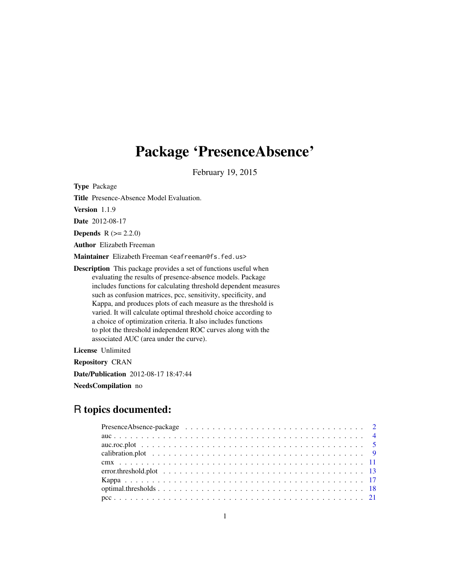# Package 'PresenceAbsence'

February 19, 2015

Type Package

Title Presence-Absence Model Evaluation.

Version 1.1.9

Date 2012-08-17

**Depends**  $R (= 2.2.0)$ 

Author Elizabeth Freeman

Maintainer Elizabeth Freeman <eafreeman@fs.fed.us>

Description This package provides a set of functions useful when evaluating the results of presence-absence models. Package includes functions for calculating threshold dependent measures such as confusion matrices, pcc, sensitivity, specificity, and Kappa, and produces plots of each measure as the threshold is varied. It will calculate optimal threshold choice according to a choice of optimization criteria. It also includes functions to plot the threshold independent ROC curves along with the associated AUC (area under the curve).

License Unlimited

Repository CRAN

Date/Publication 2012-08-17 18:47:44

NeedsCompilation no

# R topics documented: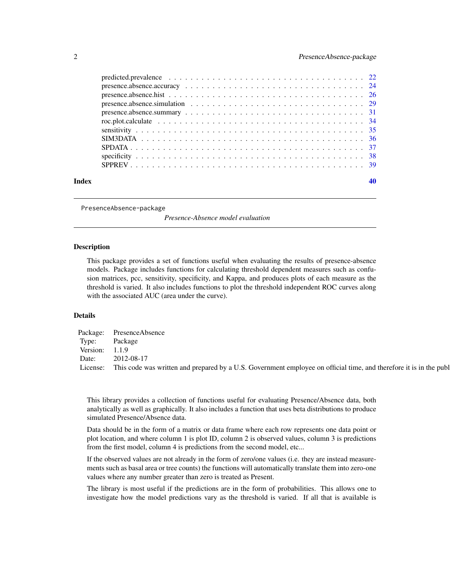<span id="page-1-0"></span>

| Index |  |
|-------|--|
|       |  |
|       |  |
|       |  |
|       |  |
|       |  |
|       |  |
|       |  |
|       |  |
|       |  |
|       |  |
|       |  |

PresenceAbsence-package

*Presence-Absence model evaluation*

#### Description

This package provides a set of functions useful when evaluating the results of presence-absence models. Package includes functions for calculating threshold dependent measures such as confusion matrices, pcc, sensitivity, specificity, and Kappa, and produces plots of each measure as the threshold is varied. It also includes functions to plot the threshold independent ROC curves along with the associated AUC (area under the curve).

# Details

|                  | Package: PresenceAbsence                                                                                           |
|------------------|--------------------------------------------------------------------------------------------------------------------|
| Type:            | Package                                                                                                            |
| Version: $1.1.9$ |                                                                                                                    |
| Date:            | 2012-08-17                                                                                                         |
| License:         | This code was written and prepared by a U.S. Government employee on official time, and therefore it is in the publ |

This library provides a collection of functions useful for evaluating Presence/Absence data, both analytically as well as graphically. It also includes a function that uses beta distributions to produce simulated Presence/Absence data.

Data should be in the form of a matrix or data frame where each row represents one data point or plot location, and where column 1 is plot ID, column 2 is observed values, column 3 is predictions from the first model, column 4 is predictions from the second model, etc...

If the observed values are not already in the form of zero/one values (i.e. they are instead measurements such as basal area or tree counts) the functions will automatically translate them into zero-one values where any number greater than zero is treated as Present.

The library is most useful if the predictions are in the form of probabilities. This allows one to investigate how the model predictions vary as the threshold is varied. If all that is available is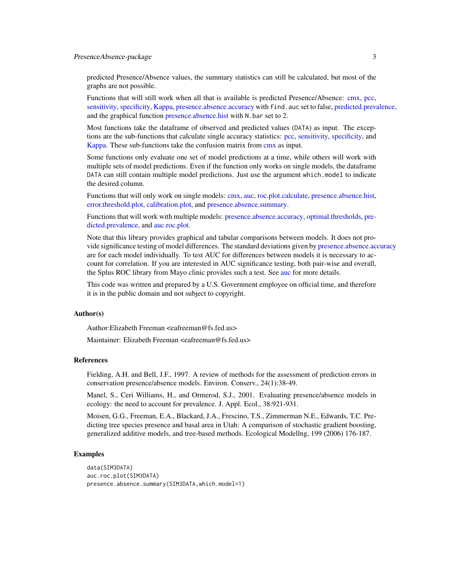#### <span id="page-2-0"></span>Presence Absence-package 3

predicted Presence/Absence values, the summary statistics can still be calculated, but most of the graphs are not possible.

Functions that will still work when all that is available is predicted Presence/Absence: [cmx,](#page-10-1) [pcc,](#page-20-1) [sensitivity,](#page-34-1) [specificity,](#page-37-1) [Kappa,](#page-16-1) [presence.absence.accuracy](#page-23-1) with find.auc set to false, [predicted.prevalence,](#page-21-1) and the graphical function [presence.absence.hist](#page-25-1) with N. bar set to 2.

Most functions take the dataframe of observed and predicted values (DATA) as input. The exceptions are the sub-functions that calculate single accuracy statistics: [pcc,](#page-20-1) [sensitivity,](#page-34-1) [specificity,](#page-37-1) and [Kappa.](#page-16-1) These sub-functions take the confusion matrix from [cmx](#page-10-1) as input.

Some functions only evaluate one set of model predictions at a time, while others will work with multiple sets of model predictions. Even if the function only works on single models, the dataframe DATA can still contain multiple model predictions. Just use the argument which.model to indicate the desired column.

Functions that will only work on single models: [cmx,](#page-10-1) [auc,](#page-3-1) [roc.plot.calculate,](#page-33-1) [presence.absence.hist,](#page-25-1) [error.threshold.plot,](#page-12-1) [calibration.plot,](#page-8-1) and [presence.absence.summary.](#page-30-1)

Functions that will work with multiple models: [presence.absence.accuracy,](#page-23-1) [optimal.thresholds,](#page-17-1) [pre](#page-21-1)[dicted.prevalence,](#page-21-1) and [auc.roc.plot.](#page-4-1)

Note that this library provides graphical and tabular comparisons between models. It does not provide significance testing of model differences. The standard deviations given by [presence.absence.accuracy](#page-23-1) are for each model individually. To test AUC for differences between models it is necessary to account for correlation. If you are interested in AUC significance testing, both pair-wise and overall, the Splus ROC library from Mayo clinic provides such a test. See [auc](#page-3-1) for more details.

This code was written and prepared by a U.S. Government employee on official time, and therefore it is in the public domain and not subject to copyright.

#### Author(s)

Author:Elizabeth Freeman <eafreeman@fs.fed.us>

Maintainer: Elizabeth Freeman <eafreeman@fs.fed.us>

#### References

Fielding, A.H. and Bell, J.F., 1997. A review of methods for the assessment of prediction errors in conservation presence/absence models. Environ. Conserv., 24(1):38-49.

Manel, S., Ceri Williams, H., and Ormerod, S.J., 2001. Evaluating presence/absence models in ecology: the need to account for prevalence. J. Appl. Ecol., 38:921-931.

Moisen, G.G., Freeman, E.A., Blackard, J.A., Frescino, T.S., Zimmerman N.E., Edwards, T.C. Predicting tree species presence and basal area in Utah: A comparison of stochastic gradient boosting, generalized additive models, and tree-based methods. Ecological Modellng, 199 (2006) 176-187.

#### Examples

```
data(SIM3DATA)
auc.roc.plot(SIM3DATA)
presence.absence.summary(SIM3DATA,which.model=1)
```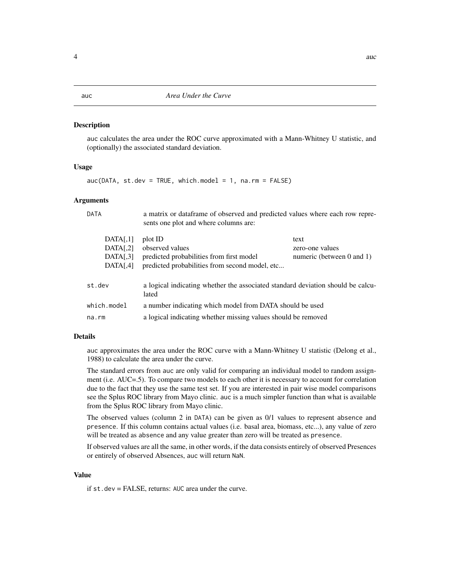#### <span id="page-3-1"></span><span id="page-3-0"></span>Description

auc calculates the area under the ROC curve approximated with a Mann-Whitney U statistic, and (optionally) the associated standard deviation.

#### Usage

 $auc(DATA, st.dev = TRUE, which model = 1, na.rm = FALSE)$ 

#### Arguments

| DATA          | a matrix or dataframe of observed and predicted values where each row repre-<br>sents one plot and where columns are: |                                |
|---------------|-----------------------------------------------------------------------------------------------------------------------|--------------------------------|
| DATA[,1]      | plot ID                                                                                                               | text                           |
| DATA[,2]      | observed values                                                                                                       | zero-one values                |
| DATA[,3]      | predicted probabilities from first model                                                                              | numeric (between $0$ and $1$ ) |
| DATA[.4]      | predicted probabilities from second model, etc                                                                        |                                |
| st.dev        | a logical indicating whether the associated standard deviation should be calcu-<br>lated                              |                                |
| $which_model$ | a number indicating which model from DATA should be used                                                              |                                |
| na.rm         | a logical indicating whether missing values should be removed                                                         |                                |

#### Details

auc approximates the area under the ROC curve with a Mann-Whitney U statistic (Delong et al., 1988) to calculate the area under the curve.

The standard errors from auc are only valid for comparing an individual model to random assignment (i.e. AUC=.5). To compare two models to each other it is necessary to account for correlation due to the fact that they use the same test set. If you are interested in pair wise model comparisons see the Splus ROC library from Mayo clinic. auc is a much simpler function than what is available from the Splus ROC library from Mayo clinic.

The observed values (column 2 in DATA) can be given as 0/1 values to represent absence and presence. If this column contains actual values (i.e. basal area, biomass, etc...), any value of zero will be treated as absence and any value greater than zero will be treated as presence.

If observed values are all the same, in other words, if the data consists entirely of observed Presences or entirely of observed Absences, auc will return NaN.

#### Value

if st.dev = FALSE, returns: AUC area under the curve.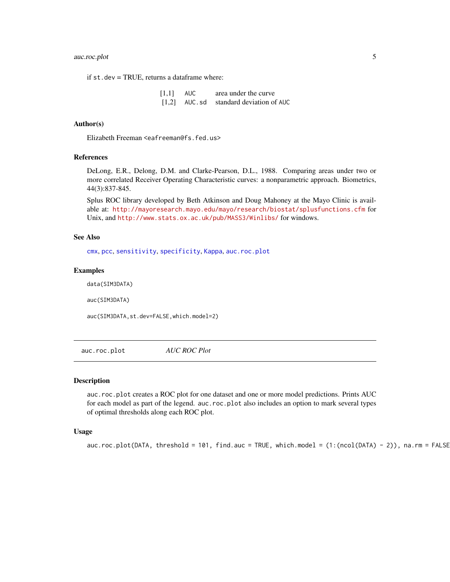# <span id="page-4-0"></span>auc.roc.plot 5

if st.dev = TRUE, returns a dataframe where:

[1,1] AUC area under the curve [1,2] AUC.sd standard deviation of AUC

#### Author(s)

Elizabeth Freeman <eafreeman@fs.fed.us>

# References

DeLong, E.R., Delong, D.M. and Clarke-Pearson, D.L., 1988. Comparing areas under two or more correlated Receiver Operating Characteristic curves: a nonparametric approach. Biometrics, 44(3):837-845.

Splus ROC library developed by Beth Atkinson and Doug Mahoney at the Mayo Clinic is available at: <http://mayoresearch.mayo.edu/mayo/research/biostat/splusfunctions.cfm> for Unix, and <http://www.stats.ox.ac.uk/pub/MASS3/Winlibs/> for windows.

#### See Also

[cmx](#page-10-1), [pcc](#page-20-1), [sensitivity](#page-34-1), [specificity](#page-37-1), [Kappa](#page-16-1), [auc.roc.plot](#page-4-1)

# Examples

data(SIM3DATA)

auc(SIM3DATA)

auc(SIM3DATA,st.dev=FALSE,which.model=2)

<span id="page-4-1"></span>auc.roc.plot *AUC ROC Plot*

# Description

auc.roc.plot creates a ROC plot for one dataset and one or more model predictions. Prints AUC for each model as part of the legend. auc.roc.plot also includes an option to mark several types of optimal thresholds along each ROC plot.

#### Usage

 $auc.roc.plot(DATA, threshold = 101, find.auc = TRUE, which. model = (1:(ncol(DATA) - 2)), na. rm = FALSE$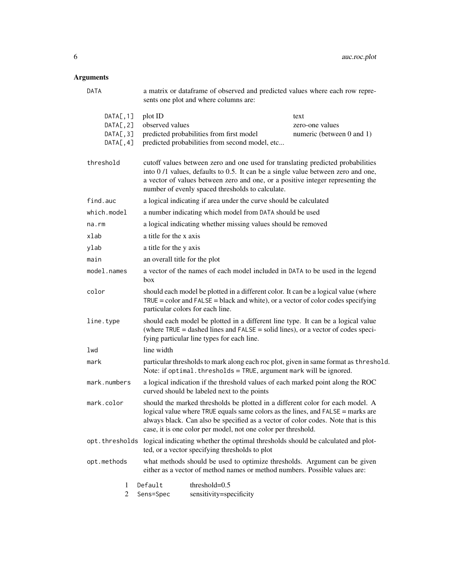| DATA                                             | a matrix or dataframe of observed and predicted values where each row repre-<br>sents one plot and where columns are:                                                                                                                                                                                                   |                                                                                                                                                                                                                                                                                                            |                                                                           |
|--------------------------------------------------|-------------------------------------------------------------------------------------------------------------------------------------------------------------------------------------------------------------------------------------------------------------------------------------------------------------------------|------------------------------------------------------------------------------------------------------------------------------------------------------------------------------------------------------------------------------------------------------------------------------------------------------------|---------------------------------------------------------------------------|
| DATA[, 1]<br>DATA[, 2]<br>DATA[, 3]<br>DATA[, 4] | plot ID<br>observed values                                                                                                                                                                                                                                                                                              | predicted probabilities from first model<br>predicted probabilities from second model, etc                                                                                                                                                                                                                 | text<br>zero-one values<br>numeric (between 0 and 1)                      |
| threshold                                        |                                                                                                                                                                                                                                                                                                                         | cutoff values between zero and one used for translating predicted probabilities<br>into 0/1 values, defaults to 0.5. It can be a single value between zero and one,<br>a vector of values between zero and one, or a positive integer representing the<br>number of evenly spaced thresholds to calculate. |                                                                           |
| find.auc                                         |                                                                                                                                                                                                                                                                                                                         | a logical indicating if area under the curve should be calculated                                                                                                                                                                                                                                          |                                                                           |
| which.model                                      |                                                                                                                                                                                                                                                                                                                         | a number indicating which model from DATA should be used                                                                                                                                                                                                                                                   |                                                                           |
| na.rm                                            |                                                                                                                                                                                                                                                                                                                         | a logical indicating whether missing values should be removed                                                                                                                                                                                                                                              |                                                                           |
| xlab                                             | a title for the x axis                                                                                                                                                                                                                                                                                                  |                                                                                                                                                                                                                                                                                                            |                                                                           |
| ylab                                             | a title for the y axis                                                                                                                                                                                                                                                                                                  |                                                                                                                                                                                                                                                                                                            |                                                                           |
| main                                             | an overall title for the plot                                                                                                                                                                                                                                                                                           |                                                                                                                                                                                                                                                                                                            |                                                                           |
| model.names                                      | a vector of the names of each model included in DATA to be used in the legend<br>box                                                                                                                                                                                                                                    |                                                                                                                                                                                                                                                                                                            |                                                                           |
| color                                            | should each model be plotted in a different color. It can be a logical value (where<br>$TRUE = color$ and $FALSE = black$ and white), or a vector of color codes specifying<br>particular colors for each line.                                                                                                         |                                                                                                                                                                                                                                                                                                            |                                                                           |
| line.type                                        | should each model be plotted in a different line type. It can be a logical value<br>(where $TRUE = dashed$ lines and $FALSE = solid$ lines), or a vector of codes speci-<br>fying particular line types for each line.                                                                                                  |                                                                                                                                                                                                                                                                                                            |                                                                           |
| lwd                                              | line width                                                                                                                                                                                                                                                                                                              |                                                                                                                                                                                                                                                                                                            |                                                                           |
| mark                                             | particular thresholds to mark along each roc plot, given in same format as threshold.<br>Note: if optimal. thresholds = TRUE, argument mark will be ignored.                                                                                                                                                            |                                                                                                                                                                                                                                                                                                            |                                                                           |
| mark.numbers                                     | a logical indication if the threshold values of each marked point along the ROC<br>curved should be labeled next to the points                                                                                                                                                                                          |                                                                                                                                                                                                                                                                                                            |                                                                           |
| mark.color                                       | should the marked thresholds be plotted in a different color for each model. A<br>logical value where TRUE equals same colors as the lines, and FALSE = marks are<br>always black. Can also be specified as a vector of color codes. Note that is this<br>case, it is one color per model, not one color per threshold. |                                                                                                                                                                                                                                                                                                            |                                                                           |
| opt.thresholds                                   | logical indicating whether the optimal thresholds should be calculated and plot-<br>ted, or a vector specifying thresholds to plot                                                                                                                                                                                      |                                                                                                                                                                                                                                                                                                            |                                                                           |
| opt.methods                                      |                                                                                                                                                                                                                                                                                                                         | either as a vector of method names or method numbers. Possible values are:                                                                                                                                                                                                                                 | what methods should be used to optimize thresholds. Argument can be given |
| 1<br>2                                           | Default<br>Sens=Spec                                                                                                                                                                                                                                                                                                    | threshold= $0.5$<br>sensitivity=specificity                                                                                                                                                                                                                                                                |                                                                           |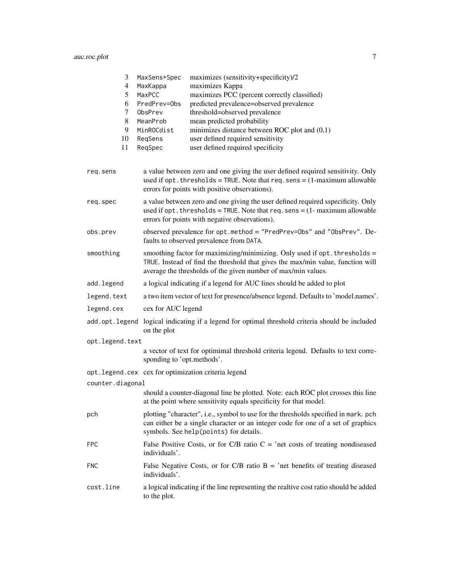# auc.roc.plot 7

| 3                                                           | MaxSens+Spec                                                                                                   | maximizes (sensitivity+specificity)/2                                                                                                                                                                                          |  |
|-------------------------------------------------------------|----------------------------------------------------------------------------------------------------------------|--------------------------------------------------------------------------------------------------------------------------------------------------------------------------------------------------------------------------------|--|
| 4                                                           | MaxKappa                                                                                                       | maximizes Kappa                                                                                                                                                                                                                |  |
| maximizes PCC (percent correctly classified)<br>5<br>MaxPCC |                                                                                                                |                                                                                                                                                                                                                                |  |
| 6                                                           | PredPrev=0bs                                                                                                   | predicted prevalence=observed prevalence                                                                                                                                                                                       |  |
| 7                                                           | ObsPrev                                                                                                        | threshold=observed prevalence                                                                                                                                                                                                  |  |
| 8                                                           | MeanProb                                                                                                       | mean predicted probability                                                                                                                                                                                                     |  |
| 9                                                           | MinROCdist                                                                                                     | minimizes distance between ROC plot and $(0,1)$                                                                                                                                                                                |  |
| 10                                                          | ReqSens                                                                                                        | user defined required sensitivity                                                                                                                                                                                              |  |
| 11                                                          | ReqSpec                                                                                                        | user defined required specificity                                                                                                                                                                                              |  |
| req.sens                                                    |                                                                                                                | a value between zero and one giving the user defined required sensitivity. Only<br>used if opt. thresholds = TRUE. Note that req. sens = $(1$ -maximum allowable<br>errors for points with positive observations).             |  |
| req.spec                                                    |                                                                                                                | a value between zero and one giving the user defined required sspecificity. Only<br>used if opt. thresholds = TRUE. Note that $req$ . sens = $(1 - maximum$ allowable<br>errors for points with negative observations).        |  |
| obs.prev                                                    |                                                                                                                | observed prevalence for opt.method = "PredPrev=0bs" and "0bsPrev". De-<br>faults to observed prevalence from DATA.                                                                                                             |  |
| smoothing                                                   |                                                                                                                | smoothing factor for maximizing/minimizing. Only used if opt. thresholds =<br>TRUE. Instead of find the threshold that gives the max/min value, function will<br>average the thresholds of the given number of max/min values. |  |
| add.legend                                                  |                                                                                                                | a logical indicating if a legend for AUC lines should be added to plot                                                                                                                                                         |  |
| legend.text                                                 |                                                                                                                | a two item vector of text for presence/absence legend. Defaults to 'model.names'.                                                                                                                                              |  |
| cex for AUC legend<br>legend.cex                            |                                                                                                                |                                                                                                                                                                                                                                |  |
|                                                             | add.opt.legend logical indicating if a legend for optimal threshold criteria should be included<br>on the plot |                                                                                                                                                                                                                                |  |
| opt.legend.text                                             |                                                                                                                |                                                                                                                                                                                                                                |  |
|                                                             | sponding to 'opt.methods'.                                                                                     | a vector of text for optimimal threshold criteria legend. Defaults to text corre-                                                                                                                                              |  |
|                                                             |                                                                                                                | opt.legend.cex cex for optimization criteria legend                                                                                                                                                                            |  |
| counter.diagonal                                            |                                                                                                                |                                                                                                                                                                                                                                |  |
|                                                             |                                                                                                                | should a counter-diagonal line be plotted. Note: each ROC plot crosses this line<br>at the point where sensitivity equals specificity for that model.                                                                          |  |
| pch                                                         |                                                                                                                | plotting "character", i.e., symbol to use for the thresholds specified in mark. pch<br>can either be a single character or an integer code for one of a set of graphics<br>symbols. See help(points) for details.              |  |
| <b>FPC</b>                                                  | individuals'.                                                                                                  | False Positive Costs, or for C/B ratio $C = 'net \; costs \; of \; treating \; nondiseased$                                                                                                                                    |  |
| <b>FNC</b>                                                  | individuals'.                                                                                                  | False Negative Costs, or for C/B ratio $B = 'net$ benefits of treating diseased                                                                                                                                                |  |
| cost.line                                                   | to the plot.                                                                                                   | a logical indicating if the line representing the realtive cost ratio should be added                                                                                                                                          |  |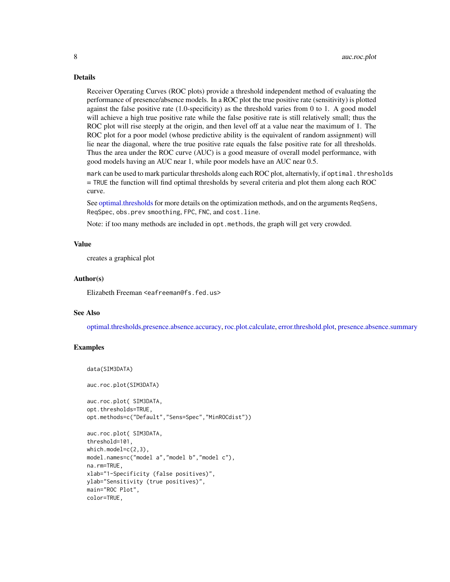Receiver Operating Curves (ROC plots) provide a threshold independent method of evaluating the performance of presence/absence models. In a ROC plot the true positive rate (sensitivity) is plotted against the false positive rate (1.0-specificity) as the threshold varies from 0 to 1. A good model will achieve a high true positive rate while the false positive rate is still relatively small; thus the ROC plot will rise steeply at the origin, and then level off at a value near the maximum of 1. The ROC plot for a poor model (whose predictive ability is the equivalent of random assignment) will lie near the diagonal, where the true positive rate equals the false positive rate for all thresholds. Thus the area under the ROC curve (AUC) is a good measure of overall model performance, with good models having an AUC near 1, while poor models have an AUC near 0.5.

mark can be used to mark particular thresholds along each ROC plot, alternativly, if optimal.thresholds = TRUE the function will find optimal thresholds by several criteria and plot them along each ROC curve.

See [optimal.thresholds](#page-17-1) for more details on the optimization methods, and on the arguments ReqSens, ReqSpec, obs.prev smoothing, FPC, FNC, and cost.line.

Note: if too many methods are included in opt.methods, the graph will get very crowded.

#### Value

creates a graphical plot

#### Author(s)

Elizabeth Freeman <eafreeman@fs.fed.us>

# See Also

[optimal.thresholds,](#page-17-1)[presence.absence.accuracy,](#page-23-1) [roc.plot.calculate,](#page-33-1) [error.threshold.plot,](#page-12-1) [presence.absence.summary](#page-30-1)

### Examples

```
data(SIM3DATA)
```
auc.roc.plot(SIM3DATA)

```
auc.roc.plot( SIM3DATA,
opt.thresholds=TRUE,
opt.methods=c("Default","Sens=Spec","MinROCdist"))
```

```
auc.roc.plot( SIM3DATA,
threshold=101,
which.model=c(2,3),
model.names=c("model a","model b","model c"),
na.rm=TRUE,
xlab="1-Specificity (false positives)",
ylab="Sensitivity (true positives)",
main="ROC Plot",
color=TRUE,
```
<span id="page-7-0"></span>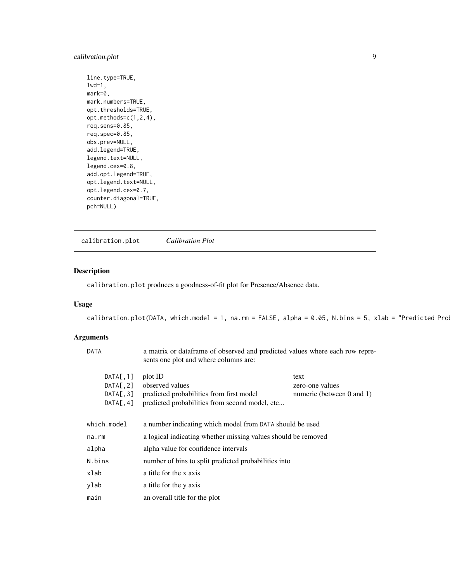# <span id="page-8-0"></span>calibration.plot 9

line.type=TRUE,  $1wd=1$ , mark=0, mark.numbers=TRUE, opt.thresholds=TRUE, opt.methods=c(1,2,4), req.sens=0.85, req.spec=0.85, obs.prev=NULL, add.legend=TRUE, legend.text=NULL, legend.cex=0.8, add.opt.legend=TRUE, opt.legend.text=NULL, opt.legend.cex=0.7, counter.diagonal=TRUE, pch=NULL)

<span id="page-8-1"></span>calibration.plot *Calibration Plot*

# Description

calibration.plot produces a goodness-of-fit plot for Presence/Absence data.

# Usage

calibration.plot(DATA, which.model = 1, na.rm = FALSE, alpha = 0.05, N.bins = 5, xlab = "Predicted Pro

| sents one plot and where columns are:                                   | a matrix or dataframe of observed and predicted values where each row repre- |  |
|-------------------------------------------------------------------------|------------------------------------------------------------------------------|--|
| plot ID                                                                 | text                                                                         |  |
| observed values                                                         | zero-one values                                                              |  |
| predicted probabilities from first model                                | numeric (between $0$ and $1$ )                                               |  |
| predicted probabilities from second model, etc                          |                                                                              |  |
|                                                                         |                                                                              |  |
| which.model<br>a number indicating which model from DATA should be used |                                                                              |  |
| a logical indicating whether missing values should be removed           |                                                                              |  |
| alpha value for confidence intervals                                    |                                                                              |  |
|                                                                         |                                                                              |  |
| a title for the x axis                                                  |                                                                              |  |
| a title for the y axis                                                  |                                                                              |  |
| an overall title for the plot                                           |                                                                              |  |
|                                                                         | number of bins to split predicted probabilities into                         |  |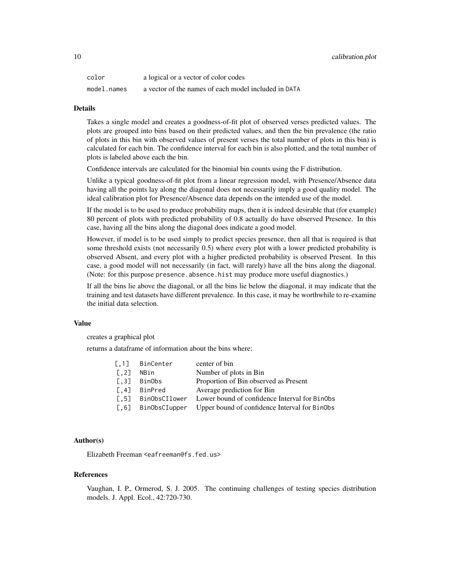| color       | a logical or a vector of color codes                 |
|-------------|------------------------------------------------------|
| model.names | a vector of the names of each model included in DATA |

Takes a single model and creates a goodness-of-fit plot of observed verses predicted values. The plots are grouped into bins based on their predicted values, and then the bin prevalence (the ratio of plots in this bin with observed values of present verses the total number of plots in this bin) is calculated for each bin. The confidence interval for each bin is also plotted, and the total number of plots is labeled above each the bin.

Confidence intervals are calculated for the binomial bin counts using the F distribution.

Unlike a typical goodness-of-fit plot from a linear regression model, with Presence/Absence data having all the points lay along the diagonal does not necessarily imply a good quality model. The ideal calibration plot for Presence/Absence data depends on the intended use of the model.

If the model is to be used to produce probability maps, then it is indeed desirable that (for example) 80 percent of plots with predicted probability of 0.8 actually do have observed Presence. In this case, having all the bins along the diagonal does indicate a good model.

However, if model is to be used simply to predict species presence, then all that is required is that some threshold exists (not necessarily 0.5) where every plot with a lower predicted probability is observed Absent, and every plot with a higher predicted probability is observed Present. In this case, a good model will not necessarily (in fact, will rarely) have all the bins along the diagonal. (Note: for this purpose presence.absence.hist may produce more useful diagnostics.)

If all the bins lie above the diagonal, or all the bins lie below the diagonal, it may indicate that the training and test datasets have different prevalence. In this case, it may be worthwhile to re-examine the initial data selection.

#### Value

creates a graphical plot

returns a dataframe of information about the bins where:

| [0.1]               | BinCenter     | center of bin                                 |
|---------------------|---------------|-----------------------------------------------|
| $\left[ .2 \right]$ | NBin          | Number of plots in Bin                        |
| $\lceil .3 \rceil$  | BinObs        | Proportion of Bin observed as Present         |
| $\left[ .4 \right]$ | BinPred       | Average prediction for Bin                    |
| $\lceil .5 \rceil$  | BinObsCIlower | Lower bound of confidence Interval for BinObs |
| [0.6]               | BinObsCIupper | Upper bound of confidence Interval for BinObs |

# Author(s)

Elizabeth Freeman <eafreeman@fs.fed.us>

#### References

Vaughan, I. P., Ormerod, S. J. 2005. The continuing challenges of testing species distribution models. J. Appl. Ecol., 42:720-730.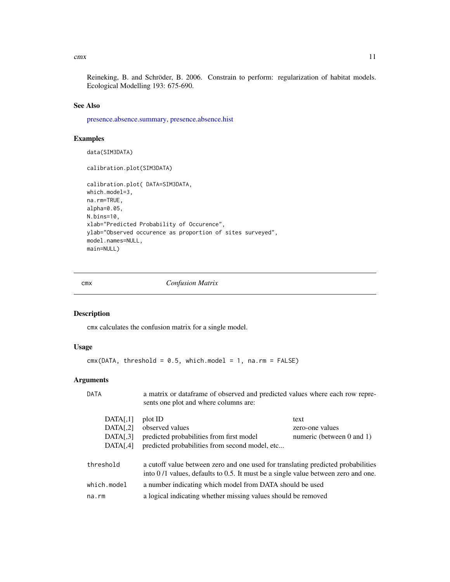<span id="page-10-0"></span> $\frac{11}{2}$ 

Reineking, B. and Schröder, B. 2006. Constrain to perform: regularization of habitat models. Ecological Modelling 193: 675-690.

## See Also

[presence.absence.summary,](#page-30-1) [presence.absence.hist](#page-25-1)

# Examples

data(SIM3DATA) calibration.plot(SIM3DATA) calibration.plot( DATA=SIM3DATA, which.model=3, na.rm=TRUE, alpha=0.05, N.bins=10, xlab="Predicted Probability of Occurence", ylab="Observed occurence as proportion of sites surveyed", model.names=NULL, main=NULL)

<span id="page-10-1"></span>cmx *Confusion Matrix*

# Description

cmx calculates the confusion matrix for a single model.

# Usage

```
cmx(DATA, threshold = 0.5, which model = 1, na.rm = FALSE)
```

| DATA          | a matrix or dataframe of observed and predicted values where each row repre-<br>sents one plot and where columns are:                                                 |                                |  |
|---------------|-----------------------------------------------------------------------------------------------------------------------------------------------------------------------|--------------------------------|--|
| DATA[,1]      | plot ID                                                                                                                                                               | text                           |  |
| DATA[,2]      | observed values                                                                                                                                                       | zero-one values                |  |
| DATA[,3]      | predicted probabilities from first model                                                                                                                              | numeric (between $0$ and $1$ ) |  |
| DATA[,4]      | predicted probabilities from second model, etc                                                                                                                        |                                |  |
| threshold     | a cutoff value between zero and one used for translating predicted probabilities<br>into 0/1 values, defaults to 0.5. It must be a single value between zero and one. |                                |  |
| $which_model$ | a number indicating which model from DATA should be used                                                                                                              |                                |  |
| $na$ . $rm$   | a logical indicating whether missing values should be removed                                                                                                         |                                |  |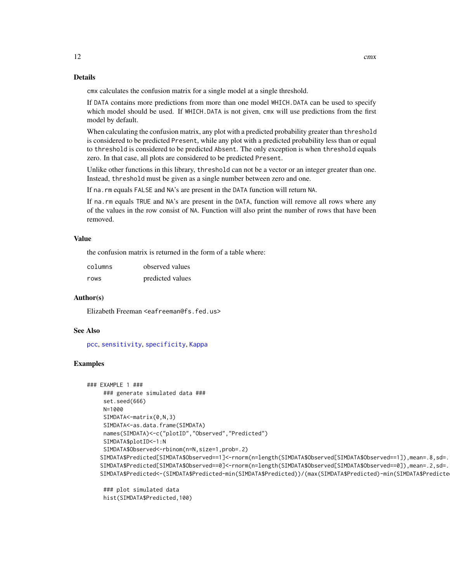<span id="page-11-0"></span>cmx calculates the confusion matrix for a single model at a single threshold.

If DATA contains more predictions from more than one model WHICH.DATA can be used to specify which model should be used. If WHICH.DATA is not given, cmx will use predictions from the first model by default.

When calculating the confusion matrix, any plot with a predicted probability greater than threshold is considered to be predicted Present, while any plot with a predicted probability less than or equal to threshold is considered to be predicted Absent. The only exception is when threshold equals zero. In that case, all plots are considered to be predicted Present.

Unlike other functions in this library, threshold can not be a vector or an integer greater than one. Instead, threshold must be given as a single number between zero and one.

If na.rm equals FALSE and NA's are present in the DATA function will return NA.

If na.rm equals TRUE and NA's are present in the DATA, function will remove all rows where any of the values in the row consist of NA. Function will also print the number of rows that have been removed.

#### Value

the confusion matrix is returned in the form of a table where:

| columns | observed values  |
|---------|------------------|
| rows    | predicted values |

# Author(s)

Elizabeth Freeman <eafreeman@fs.fed.us>

#### See Also

[pcc](#page-20-1), [sensitivity](#page-34-1), [specificity](#page-37-1), [Kappa](#page-16-1)

#### Examples

```
### EXAMPLE 1 ###
    ### generate simulated data ###
    set.seed(666)
    N=1000
    SIMDATA<-matrix(0,N,3)
    SIMDATA<-as.data.frame(SIMDATA)
    names(SIMDATA)<-c("plotID","Observed","Predicted")
    SIMDATA$plotID<-1:N
    SIMDATA$Observed<-rbinom(n=N,size=1,prob=.2)
   SIMDATA$Predicted[SIMDATA$Observed==1]<-rnorm(n=length(SIMDATA$Observed[SIMDATA$Observed==1]),mean=.8,sd=.
   SIMDATA$Predicted[SIMDATA$Observed==0]<-rnorm(n=length(SIMDATA$Observed[SIMDATA$Observed==0]),mean=.2,sd=.15)
   SIMDATA$Predicted<-(SIMDATA$Predicted-min(SIMDATA$Predicted))/(max(SIMDATA$Predicted)-min(SIMDATA$Predicted))
```
### plot simulated data hist(SIMDATA\$Predicted,100)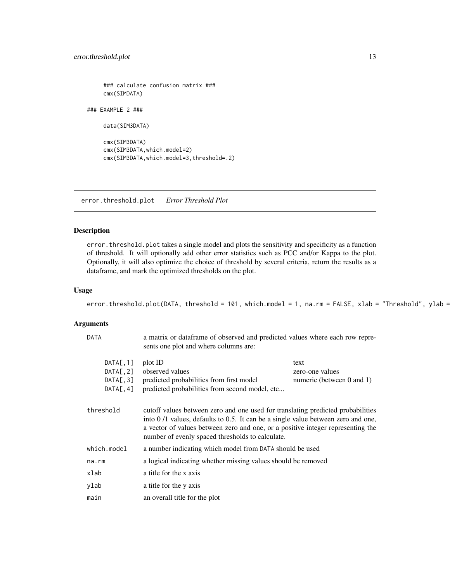<span id="page-12-0"></span>### calculate confusion matrix ### cmx(SIMDATA)

### EXAMPLE 2 ###

data(SIM3DATA)

```
cmx(SIM3DATA)
cmx(SIM3DATA,which.model=2)
cmx(SIM3DATA,which.model=3,threshold=.2)
```
<span id="page-12-1"></span>error.threshold.plot *Error Threshold Plot*

# Description

error.threshold.plot takes a single model and plots the sensitivity and specificity as a function of threshold. It will optionally add other error statistics such as PCC and/or Kappa to the plot. Optionally, it will also optimize the choice of threshold by several criteria, return the results as a dataframe, and mark the optimized thresholds on the plot.

# Usage

```
error.threshold.plot(DATA, threshold = 101, which.model = 1, na.rm = FALSE, xlab = "Threshold", ylab =
```

| <b>DATA</b>            | a matrix or dataframe of observed and predicted values where each row repre-<br>sents one plot and where columns are:                                                                                                                                                                                      |                                |
|------------------------|------------------------------------------------------------------------------------------------------------------------------------------------------------------------------------------------------------------------------------------------------------------------------------------------------------|--------------------------------|
| DATA[, 1]<br>DATA[, 2] | plot ID<br>observed values                                                                                                                                                                                                                                                                                 | text<br>zero-one values        |
| DATA[, 3]<br>DATA[, 4] | predicted probabilities from first model<br>predicted probabilities from second model, etc                                                                                                                                                                                                                 | numeric (between $0$ and $1$ ) |
| threshold              | cutoff values between zero and one used for translating predicted probabilities<br>into 0/1 values, defaults to 0.5. It can be a single value between zero and one,<br>a vector of values between zero and one, or a positive integer representing the<br>number of evenly spaced thresholds to calculate. |                                |
| which.model            | a number indicating which model from DATA should be used                                                                                                                                                                                                                                                   |                                |
| $na$ . $rm$            | a logical indicating whether missing values should be removed                                                                                                                                                                                                                                              |                                |
| xlab                   | a title for the x axis                                                                                                                                                                                                                                                                                     |                                |
| ylab                   | a title for the y axis                                                                                                                                                                                                                                                                                     |                                |
| main                   | an overall title for the plot                                                                                                                                                                                                                                                                              |                                |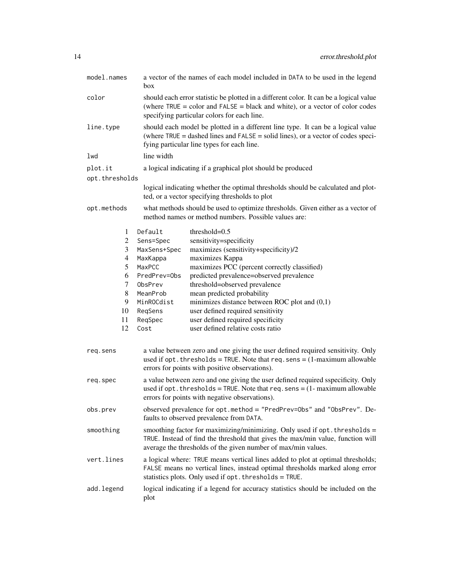| model.names    | a vector of the names of each model included in DATA to be used in the legend<br>box                                                                                                                                      |                                                                                                                                                                                                                                 |  |
|----------------|---------------------------------------------------------------------------------------------------------------------------------------------------------------------------------------------------------------------------|---------------------------------------------------------------------------------------------------------------------------------------------------------------------------------------------------------------------------------|--|
| color          | should each error statistic be plotted in a different color. It can be a logical value<br>(where $TRUE = color$ and $FALSE = black$ and white), or a vector of color codes<br>specifying particular colors for each line. |                                                                                                                                                                                                                                 |  |
| line.type      |                                                                                                                                                                                                                           | should each model be plotted in a different line type. It can be a logical value<br>(where $TRUE = dashed$ lines and $FALSE = solid$ lines), or a vector of codes speci-<br>fying particular line types for each line.          |  |
| lwd            | line width                                                                                                                                                                                                                |                                                                                                                                                                                                                                 |  |
| plot.it        |                                                                                                                                                                                                                           | a logical indicating if a graphical plot should be produced                                                                                                                                                                     |  |
| opt.thresholds |                                                                                                                                                                                                                           |                                                                                                                                                                                                                                 |  |
|                |                                                                                                                                                                                                                           | logical indicating whether the optimal thresholds should be calculated and plot-<br>ted, or a vector specifying thresholds to plot                                                                                              |  |
| opt.methods    |                                                                                                                                                                                                                           | what methods should be used to optimize thresholds. Given either as a vector of<br>method names or method numbers. Possible values are:                                                                                         |  |
| 1              | Default                                                                                                                                                                                                                   | threshold= $0.5$                                                                                                                                                                                                                |  |
| 2              | Sens=Spec                                                                                                                                                                                                                 | sensitivity=specificity                                                                                                                                                                                                         |  |
| 3              | MaxSens+Spec                                                                                                                                                                                                              | maximizes (sensitivity+specificity)/2                                                                                                                                                                                           |  |
| 4              | MaxKappa                                                                                                                                                                                                                  | maximizes Kappa                                                                                                                                                                                                                 |  |
| 5              | MaxPCC                                                                                                                                                                                                                    | maximizes PCC (percent correctly classified)                                                                                                                                                                                    |  |
| 6<br>7         | PredPrev=0bs<br>ObsPrev                                                                                                                                                                                                   | predicted prevalence=observed prevalence<br>threshold=observed prevalence                                                                                                                                                       |  |
| 8              | MeanProb                                                                                                                                                                                                                  | mean predicted probability                                                                                                                                                                                                      |  |
| 9              | MinROCdist                                                                                                                                                                                                                | minimizes distance between ROC plot and $(0,1)$                                                                                                                                                                                 |  |
| 10             | ReqSens                                                                                                                                                                                                                   | user defined required sensitivity                                                                                                                                                                                               |  |
| 11             | ReqSpec                                                                                                                                                                                                                   | user defined required specificity                                                                                                                                                                                               |  |
| 12             | Cost                                                                                                                                                                                                                      | user defined relative costs ratio                                                                                                                                                                                               |  |
| req.sens       |                                                                                                                                                                                                                           | a value between zero and one giving the user defined required sensitivity. Only<br>used if opt. thresholds = TRUE. Note that req. sens = $(1$ -maximum allowable<br>errors for points with positive observations).              |  |
| req.spec       |                                                                                                                                                                                                                           | a value between zero and one giving the user defined required sspecificity. Only<br>used if opt. thresholds = TRUE. Note that $req$ . sens = $(1 - \text{maximum allowable})$<br>errors for points with negative observations). |  |
| obs.prev       | observed prevalence for opt.method = "PredPrev=0bs" and "0bsPrev". De-<br>faults to observed prevalence from DATA.                                                                                                        |                                                                                                                                                                                                                                 |  |
| smoothing      |                                                                                                                                                                                                                           | smoothing factor for maximizing/minimizing. Only used if opt. thresholds =<br>TRUE. Instead of find the threshold that gives the max/min value, function will<br>average the thresholds of the given number of max/min values.  |  |
| vert.lines     |                                                                                                                                                                                                                           | a logical where: TRUE means vertical lines added to plot at optimal thresholds;<br>FALSE means no vertical lines, instead optimal thresholds marked along error<br>statistics plots. Only used if opt. thresholds = TRUE.       |  |
| add.legend     | logical indicating if a legend for accuracy statistics should be included on the<br>plot                                                                                                                                  |                                                                                                                                                                                                                                 |  |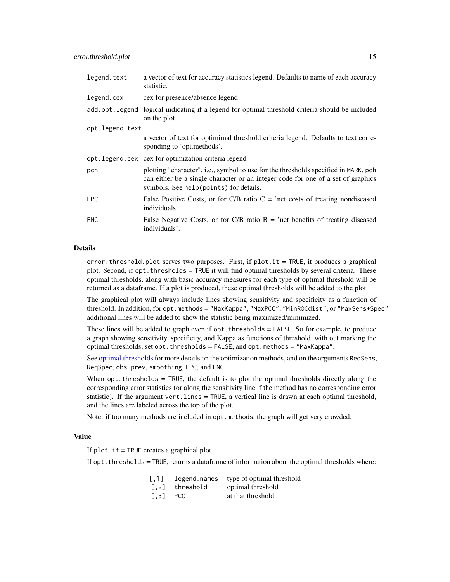<span id="page-14-0"></span>

| legend.text     | a vector of text for accuracy statistics legend. Defaults to name of each accuracy<br>statistic.                                                                                                                  |
|-----------------|-------------------------------------------------------------------------------------------------------------------------------------------------------------------------------------------------------------------|
| legend.cex      | cex for presence/absence legend                                                                                                                                                                                   |
|                 | add.opt.legend logical indicating if a legend for optimal threshold criteria should be included<br>on the plot                                                                                                    |
| opt.legend.text |                                                                                                                                                                                                                   |
|                 | a vector of text for optimimal threshold criteria legend. Defaults to text corre-<br>sponding to 'opt.methods'.                                                                                                   |
|                 | opt.legend.cex cex for optimization criteria legend                                                                                                                                                               |
| pch             | plotting "character", i.e., symbol to use for the thresholds specified in MARK. pch<br>can either be a single character or an integer code for one of a set of graphics<br>symbols. See help(points) for details. |
| <b>FPC</b>      | False Positive Costs, or for C/B ratio $C =$ 'net costs of treating nondiseased<br>individuals'.                                                                                                                  |
| <b>FNC</b>      | False Negative Costs, or for C/B ratio $B = 'net$ benefits of treating diseased<br>individuals'.                                                                                                                  |

error. threshold. plot serves two purposes. First, if  $plot.it = TRUE$ , it produces a graphical plot. Second, if opt. thresholds = TRUE it will find optimal thresholds by several criteria. These optimal thresholds, along with basic accuracy measures for each type of optimal threshold will be returned as a dataframe. If a plot is produced, these optimal thresholds will be added to the plot.

The graphical plot will always include lines showing sensitivity and specificity as a function of threshold. In addition, for opt.methods = "MaxKappa", "MaxPCC", "MinROCdist", or "MaxSens+Spec" additional lines will be added to show the statistic being maximized/minimized.

These lines will be added to graph even if opt.thresholds = FALSE. So for example, to produce a graph showing sensitivity, specificity, and Kappa as functions of threshold, with out marking the optimal thresholds, set opt. thresholds = FALSE, and opt. methods = "MaxKappa".

See [optimal.thresholds](#page-17-1) for more details on the optimization methods, and on the arguments ReqSens, ReqSpec, obs.prev, smoothing, FPC, and FNC.

When  $opt.$  thresholds = TRUE, the default is to plot the optimal thresholds directly along the corresponding error statistics (or along the sensitivity line if the method has no corresponding error statistic). If the argument vert.lines = TRUE, a vertical line is drawn at each optimal threshold, and the lines are labeled across the top of the plot.

Note: if too many methods are included in opt. methods, the graph will get very crowded.

#### Value

If  $plot.it = TRUE$  creates a graphical plot.

If opt. thresholds  $=$  TRUE, returns a dataframe of information about the optimal thresholds where:

|  | [,1] legend.names type of optimal threshold |
|--|---------------------------------------------|
|  |                                             |

- [,2] threshold optimal threshold
- [,3] PCC at that threshold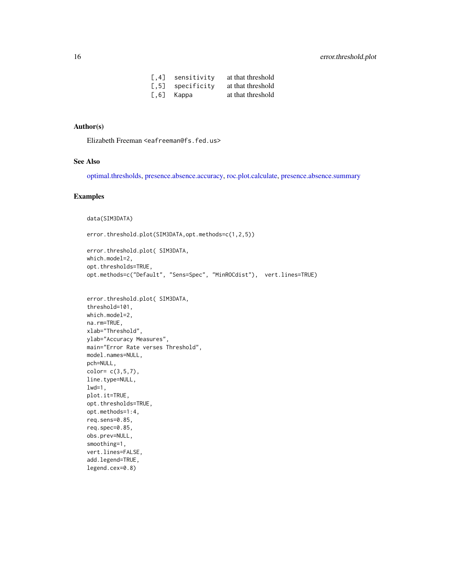| $\left[ .4 \right]$ | sensitivity   | at that threshold |
|---------------------|---------------|-------------------|
| $\left[ .5 \right]$ | specificitv   | at that threshold |
|                     | $[0.6]$ Kappa | at that threshold |

# <span id="page-15-0"></span>Author(s)

Elizabeth Freeman <eafreeman@fs.fed.us>

### See Also

[optimal.thresholds,](#page-17-1) [presence.absence.accuracy,](#page-23-1) [roc.plot.calculate,](#page-33-1) [presence.absence.summary](#page-30-1)

# Examples

```
data(SIM3DATA)
```
error.threshold.plot(SIM3DATA,opt.methods=c(1,2,5))

```
error.threshold.plot( SIM3DATA,
which.model=2,
opt.thresholds=TRUE,
opt.methods=c("Default", "Sens=Spec", "MinROCdist"), vert.lines=TRUE)
```

```
error.threshold.plot( SIM3DATA,
threshold=101,
which.model=2,
na.rm=TRUE,
xlab="Threshold",
ylab="Accuracy Measures",
main="Error Rate verses Threshold",
model.names=NULL,
pch=NULL,
color= c(3,5,7),
line.type=NULL,
1wd=1,
plot.it=TRUE,
opt.thresholds=TRUE,
opt.methods=1:4,
req.sens=0.85,
req.spec=0.85,
obs.prev=NULL,
smoothing=1,
vert.lines=FALSE,
add.legend=TRUE,
legend.cex=0.8)
```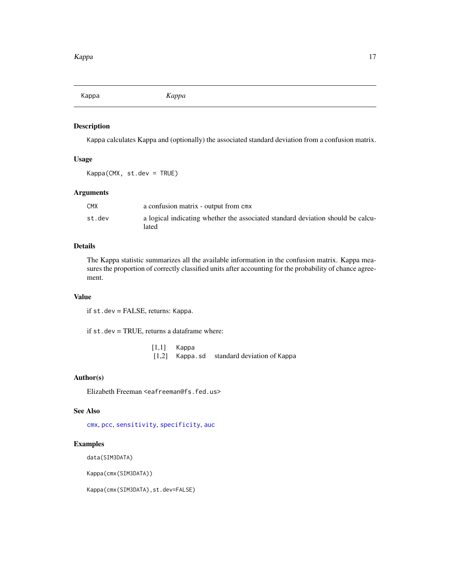<span id="page-16-1"></span><span id="page-16-0"></span>Kappa *Kappa*

# Description

Kappa calculates Kappa and (optionally) the associated standard deviation from a confusion matrix.

#### Usage

Kappa(CMX, st.dev = TRUE)

# Arguments

| CMX    | a confusion matrix - output from cmx                                                     |
|--------|------------------------------------------------------------------------------------------|
| st.dev | a logical indicating whether the associated standard deviation should be calcu-<br>lated |

# Details

The Kappa statistic summarizes all the available information in the confusion matrix. Kappa measures the proportion of correctly classified units after accounting for the probability of chance agreement.

#### Value

if st.dev = FALSE, returns: Kappa.

if st.dev = TRUE, returns a dataframe where:

[1,1] Kappa [1,2] Kappa.sd standard deviation of Kappa

# Author(s)

Elizabeth Freeman <eafreeman@fs.fed.us>

#### See Also

[cmx](#page-10-1), [pcc](#page-20-1), [sensitivity](#page-34-1), [specificity](#page-37-1), [auc](#page-3-1)

# Examples

data(SIM3DATA)

Kappa(cmx(SIM3DATA))

Kappa(cmx(SIM3DATA),st.dev=FALSE)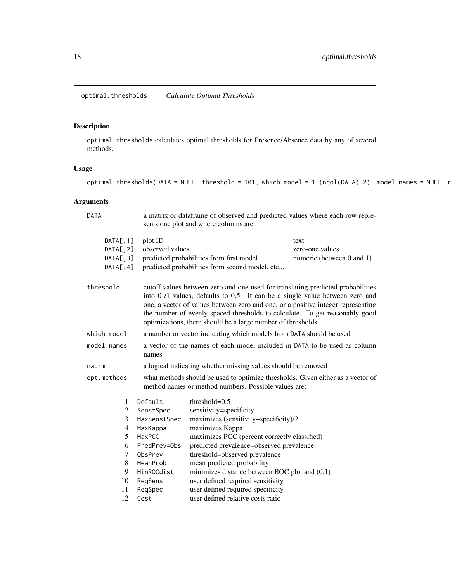<span id="page-17-1"></span><span id="page-17-0"></span>optimal.thresholds *Calculate Optimal Thresholds*

# Description

optimal.thresholds calculates optimal thresholds for Presence/Absence data by any of several methods.

# Usage

optimal.thresholds(DATA = NULL, threshold = 101, which.model = 1:(ncol(DATA)-2), model.names = NULL,  $\iota$ 

| <b>DATA</b>                                      | a matrix or dataframe of observed and predicted values where each row repre-<br>sents one plot and where columns are: |                                                                                                                                                                                                                                                                                                                                                                                                    |                                                      |
|--------------------------------------------------|-----------------------------------------------------------------------------------------------------------------------|----------------------------------------------------------------------------------------------------------------------------------------------------------------------------------------------------------------------------------------------------------------------------------------------------------------------------------------------------------------------------------------------------|------------------------------------------------------|
| DATA[, 1]<br>DATA[, 2]<br>DATA[, 3]<br>DATA[, 4] | plot ID<br>observed values                                                                                            | predicted probabilities from first model<br>predicted probabilities from second model, etc                                                                                                                                                                                                                                                                                                         | text<br>zero-one values<br>numeric (between 0 and 1) |
| threshold                                        |                                                                                                                       | cutoff values between zero and one used for translating predicted probabilities<br>into 0 /1 values, defaults to 0.5. It can be a single value between zero and<br>one, a vector of values between zero and one, or a positive integer representing<br>the number of evenly spaced thresholds to calculate. To get reasonably good<br>optimizations, there should be a large number of thresholds. |                                                      |
| which.model                                      |                                                                                                                       | a number or vector indicating which models from DATA should be used                                                                                                                                                                                                                                                                                                                                |                                                      |
| model.names                                      | a vector of the names of each model included in DATA to be used as column<br>names                                    |                                                                                                                                                                                                                                                                                                                                                                                                    |                                                      |
| na.rm                                            | a logical indicating whether missing values should be removed                                                         |                                                                                                                                                                                                                                                                                                                                                                                                    |                                                      |
| opt.methods                                      |                                                                                                                       | what methods should be used to optimize thresholds. Given either as a vector of<br>method names or method numbers. Possible values are:                                                                                                                                                                                                                                                            |                                                      |
| 1                                                | Default                                                                                                               | threshold= $0.5$                                                                                                                                                                                                                                                                                                                                                                                   |                                                      |
| 2                                                | Sens=Spec                                                                                                             | sensitivity=specificity                                                                                                                                                                                                                                                                                                                                                                            |                                                      |
| 3                                                | MaxSens+Spec                                                                                                          | maximizes (sensitivity+specificity)/2                                                                                                                                                                                                                                                                                                                                                              |                                                      |
| $\overline{4}$                                   | MaxKappa                                                                                                              | maximizes Kappa                                                                                                                                                                                                                                                                                                                                                                                    |                                                      |
| 5                                                | MaxPCC                                                                                                                | maximizes PCC (percent correctly classified)                                                                                                                                                                                                                                                                                                                                                       |                                                      |
| 6                                                | PredPrev=0bs                                                                                                          | predicted prevalence=observed prevalence                                                                                                                                                                                                                                                                                                                                                           |                                                      |
| $\tau$                                           | ObsPrev                                                                                                               | threshold=observed prevalence                                                                                                                                                                                                                                                                                                                                                                      |                                                      |
| $\,8$                                            | MeanProb                                                                                                              | mean predicted probability                                                                                                                                                                                                                                                                                                                                                                         |                                                      |
| 9                                                | MinROCdist                                                                                                            | minimizes distance between ROC plot and $(0,1)$                                                                                                                                                                                                                                                                                                                                                    |                                                      |
| 10                                               | ReqSens                                                                                                               | user defined required sensitivity                                                                                                                                                                                                                                                                                                                                                                  |                                                      |
| 11                                               | ReqSpec                                                                                                               | user defined required specificity                                                                                                                                                                                                                                                                                                                                                                  |                                                      |
| 12                                               | Cost                                                                                                                  | user defined relative costs ratio                                                                                                                                                                                                                                                                                                                                                                  |                                                      |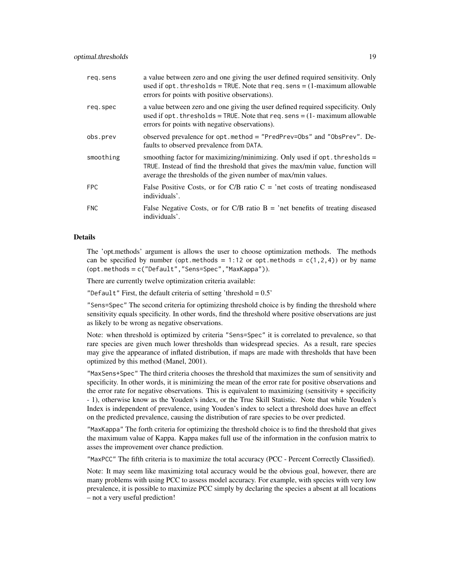| reg.sens   | a value between zero and one giving the user defined required sensitivity. Only<br>used if opt. thresholds = TRUE. Note that $req$ . sens = $(1$ -maximum allowable<br>errors for points with positive observations).            |
|------------|----------------------------------------------------------------------------------------------------------------------------------------------------------------------------------------------------------------------------------|
| req.spec   | a value between zero and one giving the user defined required sspecificity. Only<br>used if $opt.$ thresholds = TRUE. Note that $req.$ sens = $(1 - maximum$ allowable<br>errors for points with negative observations).         |
| obs.prev   | observed prevalence for opt.method = "PredPrev=0bs" and "0bsPrev". De-<br>faults to observed prevalence from DATA.                                                                                                               |
| smoothing  | smoothing factor for maximizing/minimizing. Only used if $opt.$ thresholds =<br>TRUE. Instead of find the threshold that gives the max/min value, function will<br>average the thresholds of the given number of max/min values. |
| FPC        | False Positive Costs, or for C/B ratio $C =$ 'net costs of treating nondiseased<br>individuals'.                                                                                                                                 |
| <b>FNC</b> | False Negative Costs, or for C/B ratio $B = 'net$ benefits of treating diseased<br>individuals'.                                                                                                                                 |

The 'opt.methods' argument is allows the user to choose optimization methods. The methods can be specified by number (opt.methods = 1:12 or opt.methods =  $c(1,2,4)$ ) or by name (opt.methods = c("Default","Sens=Spec","MaxKappa")).

There are currently twelve optimization criteria available:

"Default" First, the default criteria of setting 'threshold =  $0.5$ "

"Sens=Spec" The second criteria for optimizing threshold choice is by finding the threshold where sensitivity equals specificity. In other words, find the threshold where positive observations are just as likely to be wrong as negative observations.

Note: when threshold is optimized by criteria "Sens=Spec" it is correlated to prevalence, so that rare species are given much lower thresholds than widespread species. As a result, rare species may give the appearance of inflated distribution, if maps are made with thresholds that have been optimized by this method (Manel, 2001).

"MaxSens+Spec" The third criteria chooses the threshold that maximizes the sum of sensitivity and specificity. In other words, it is minimizing the mean of the error rate for positive observations and the error rate for negative observations. This is equivalent to maximizing (sensitivity + specificity - 1), otherwise know as the Youden's index, or the True Skill Statistic. Note that while Youden's Index is independent of prevalence, using Youden's index to select a threshold does have an effect on the predicted prevalence, causing the distribution of rare species to be over predicted.

"MaxKappa" The forth criteria for optimizing the threshold choice is to find the threshold that gives the maximum value of Kappa. Kappa makes full use of the information in the confusion matrix to asses the improvement over chance prediction.

"MaxPCC" The fifth criteria is to maximize the total accuracy (PCC - Percent Correctly Classified).

Note: It may seem like maximizing total accuracy would be the obvious goal, however, there are many problems with using PCC to assess model accuracy. For example, with species with very low prevalence, it is possible to maximize PCC simply by declaring the species a absent at all locations – not a very useful prediction!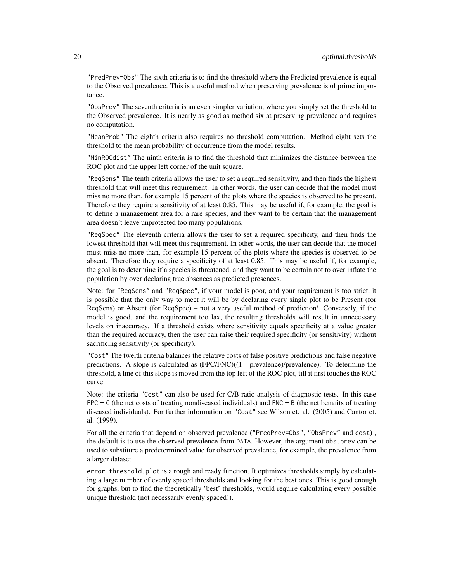"PredPrev=Obs" The sixth criteria is to find the threshold where the Predicted prevalence is equal to the Observed prevalence. This is a useful method when preserving prevalence is of prime importance.

"ObsPrev" The seventh criteria is an even simpler variation, where you simply set the threshold to the Observed prevalence. It is nearly as good as method six at preserving prevalence and requires no computation.

"MeanProb" The eighth criteria also requires no threshold computation. Method eight sets the threshold to the mean probability of occurrence from the model results.

"MinROCdist" The ninth criteria is to find the threshold that minimizes the distance between the ROC plot and the upper left corner of the unit square.

"ReqSens" The tenth criteria allows the user to set a required sensitivity, and then finds the highest threshold that will meet this requirement. In other words, the user can decide that the model must miss no more than, for example 15 percent of the plots where the species is observed to be present. Therefore they require a sensitivity of at least 0.85. This may be useful if, for example, the goal is to define a management area for a rare species, and they want to be certain that the management area doesn't leave unprotected too many populations.

"ReqSpec" The eleventh criteria allows the user to set a required specificity, and then finds the lowest threshold that will meet this requirement. In other words, the user can decide that the model must miss no more than, for example 15 percent of the plots where the species is observed to be absent. Therefore they require a specificity of at least 0.85. This may be useful if, for example, the goal is to determine if a species is threatened, and they want to be certain not to over inflate the population by over declaring true absences as predicted presences.

Note: for "ReqSens" and "ReqSpec", if your model is poor, and your requirement is too strict, it is possible that the only way to meet it will be by declaring every single plot to be Present (for ReqSens) or Absent (for ReqSpec) – not a very useful method of prediction! Conversely, if the model is good, and the requirement too lax, the resulting thresholds will result in unnecessary levels on inaccuracy. If a threshold exists where sensitivity equals specificity at a value greater than the required accuracy, then the user can raise their required specificity (or sensitivity) without sacrificing sensitivity (or specificity).

"Cost" The twelth criteria balances the relative costs of false positive predictions and false negative predictions. A slope is calculated as (FPC/FNC)((1 - prevalence)/prevalence). To determine the threshold, a line of this slope is moved from the top left of the ROC plot, till it first touches the ROC curve.

Note: the criteria "Cost" can also be used for C/B ratio analysis of diagnostic tests. In this case  $FPC = C$  (the net costs of treating nondiseased individuals) and  $FNC = B$  (the net benafits of treating diseased individuals). For further information on "Cost" see Wilson et. al. (2005) and Cantor et. al. (1999).

For all the criteria that depend on observed prevalence ("PredPrev=Obs", "ObsPrev" and cost), the default is to use the observed prevalence from DATA. However, the argument obs.prev can be used to substiture a predetermined value for observed prevalence, for example, the prevalence from a larger dataset.

error, threshold.plot is a rough and ready function. It optimizes thresholds simply by calculating a large number of evenly spaced thresholds and looking for the best ones. This is good enough for graphs, but to find the theoretically 'best' thresholds, would require calculating every possible unique threshold (not necessarily evenly spaced!).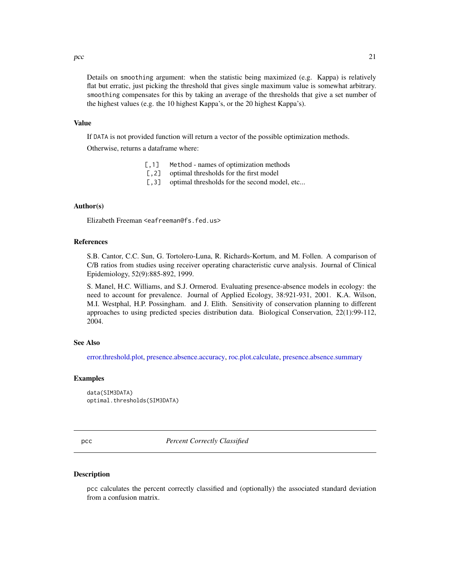<span id="page-20-0"></span> $\rm pcc$  21

Details on smoothing argument: when the statistic being maximized (e.g. Kappa) is relatively flat but erratic, just picking the threshold that gives single maximum value is somewhat arbitrary. smoothing compensates for this by taking an average of the thresholds that give a set number of the highest values (e.g. the 10 highest Kappa's, or the 20 highest Kappa's).

#### Value

If DATA is not provided function will return a vector of the possible optimization methods.

Otherwise, returns a dataframe where:

- [, 1] Method names of optimization methods
- [, 2] optimal thresholds for the first model
- [,3] optimal thresholds for the second model, etc...

# Author(s)

Elizabeth Freeman <eafreeman@fs.fed.us>

# References

S.B. Cantor, C.C. Sun, G. Tortolero-Luna, R. Richards-Kortum, and M. Follen. A comparison of C/B ratios from studies using receiver operating characteristic curve analysis. Journal of Clinical Epidemiology, 52(9):885-892, 1999.

S. Manel, H.C. Williams, and S.J. Ormerod. Evaluating presence-absence models in ecology: the need to account for prevalence. Journal of Applied Ecology, 38:921-931, 2001. K.A. Wilson, M.I. Westphal, H.P. Possingham. and J. Elith. Sensitivity of conservation planning to different approaches to using predicted species distribution data. Biological Conservation, 22(1):99-112, 2004.

#### See Also

[error.threshold.plot,](#page-12-1) [presence.absence.accuracy,](#page-23-1) [roc.plot.calculate,](#page-33-1) [presence.absence.summary](#page-30-1)

#### Examples

data(SIM3DATA) optimal.thresholds(SIM3DATA)

<span id="page-20-1"></span>pcc *Percent Correctly Classified*

#### **Description**

pcc calculates the percent correctly classified and (optionally) the associated standard deviation from a confusion matrix.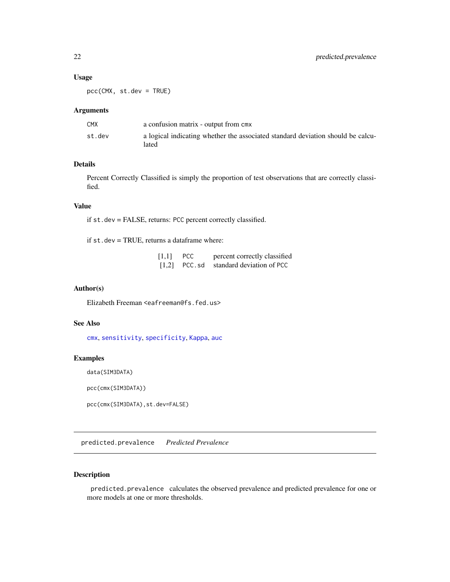# <span id="page-21-0"></span>Usage

pcc(CMX, st.dev = TRUE)

# Arguments

| CMX    | a confusion matrix - output from cmx                                                     |
|--------|------------------------------------------------------------------------------------------|
| st.dev | a logical indicating whether the associated standard deviation should be calcu-<br>lated |

# Details

Percent Correctly Classified is simply the proportion of test observations that are correctly classified.

# Value

if st.dev = FALSE, returns: PCC percent correctly classified.

if st.dev = TRUE, returns a dataframe where:

| [1,1] | <b>PCC</b> | percent correctly classified              |
|-------|------------|-------------------------------------------|
|       |            | $[1,2]$ PCC. sd standard deviation of PCC |

#### Author(s)

Elizabeth Freeman <eafreeman@fs.fed.us>

# See Also

[cmx](#page-10-1), [sensitivity](#page-34-1), [specificity](#page-37-1), [Kappa](#page-16-1), [auc](#page-3-1)

# Examples

data(SIM3DATA)

pcc(cmx(SIM3DATA))

pcc(cmx(SIM3DATA),st.dev=FALSE)

<span id="page-21-1"></span>predicted.prevalence *Predicted Prevalence*

#### Description

predicted.prevalence calculates the observed prevalence and predicted prevalence for one or more models at one or more thresholds.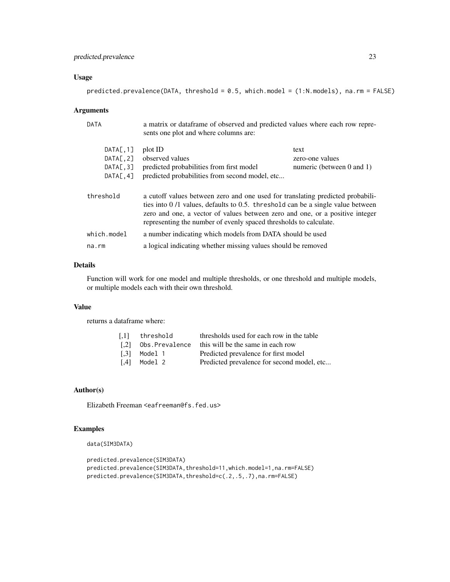# predicted.prevalence 23

# Usage

|  | predicted.prevalence(DATA, threshold = $0.5$ , which.model = $(1:N.models)$ , na.rm = FALSE) |  |  |
|--|----------------------------------------------------------------------------------------------|--|--|
|  |                                                                                              |  |  |

#### Arguments

| DATA                                             | a matrix or dataframe of observed and predicted values where each row repre-<br>sents one plot and where columns are:                                                                                                                                                                                                   |                                                      |
|--------------------------------------------------|-------------------------------------------------------------------------------------------------------------------------------------------------------------------------------------------------------------------------------------------------------------------------------------------------------------------------|------------------------------------------------------|
| DATA[, 1]<br>DATA[, 2]<br>DATA[, 3]<br>DATA[, 4] | plot ID<br>observed values<br>predicted probabilities from first model<br>predicted probabilities from second model, etc                                                                                                                                                                                                | text<br>zero-one values<br>numeric (between 0 and 1) |
| threshold                                        | a cutoff values between zero and one used for translating predicted probabili-<br>ties into $0/1$ values, defaults to 0.5. threshold can be a single value between<br>zero and one, a vector of values between zero and one, or a positive integer<br>representing the number of evenly spaced thresholds to calculate. |                                                      |
| $which_model$                                    | a number indicating which models from DATA should be used                                                                                                                                                                                                                                                               |                                                      |
| $na$ . $rm$                                      | a logical indicating whether missing values should be removed                                                                                                                                                                                                                                                           |                                                      |
|                                                  |                                                                                                                                                                                                                                                                                                                         |                                                      |

# Details

Function will work for one model and multiple thresholds, or one threshold and multiple models, or multiple models each with their own threshold.

# Value

returns a dataframe where:

| threshold      | thresholds used for each row in the table  |
|----------------|--------------------------------------------|
| Obs.Prevalence | this will be the same in each row          |
| Model 1        | Predicted prevalence for first model       |
| Model 2        | Predicted prevalence for second model, etc |
|                |                                            |

# Author(s)

Elizabeth Freeman <eafreeman@fs.fed.us>

# Examples

```
data(SIM3DATA)
```

```
predicted.prevalence(SIM3DATA)
predicted.prevalence(SIM3DATA,threshold=11,which.model=1,na.rm=FALSE)
predicted.prevalence(SIM3DATA,threshold=c(.2,.5,.7),na.rm=FALSE)
```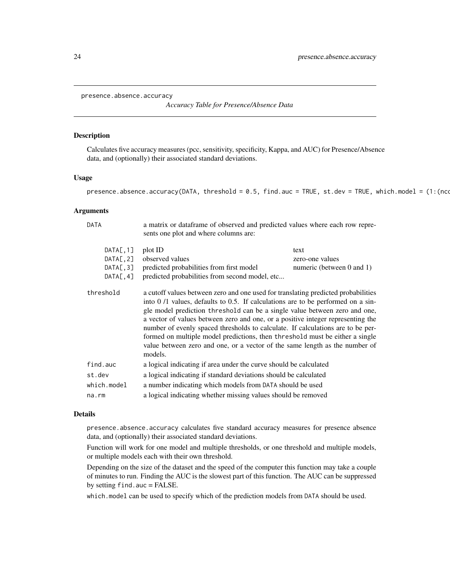<span id="page-23-1"></span><span id="page-23-0"></span>presence.absence.accuracy

*Accuracy Table for Presence/Absence Data*

#### Description

Calculates five accuracy measures (pcc, sensitivity, specificity, Kappa, and AUC) for Presence/Absence data, and (optionally) their associated standard deviations.

DATA a matrix or dataframe of observed and predicted values where each row repre-

#### Usage

presence.absence.accuracy(DATA, threshold =  $0.5$ , find.auc = TRUE, st.dev = TRUE, which.model = (1:(nco

#### Arguments

|                                                  | sents one plot and where columns are:                                                                                                                                                                                                                                                                                                                                                                                                                                                                                                                                                                |                                                           |
|--------------------------------------------------|------------------------------------------------------------------------------------------------------------------------------------------------------------------------------------------------------------------------------------------------------------------------------------------------------------------------------------------------------------------------------------------------------------------------------------------------------------------------------------------------------------------------------------------------------------------------------------------------------|-----------------------------------------------------------|
| DATA[, 1]<br>DATA[, 2]<br>DATA[, 3]<br>DATA[, 4] | plot ID<br>observed values<br>predicted probabilities from first model<br>predicted probabilities from second model, etc                                                                                                                                                                                                                                                                                                                                                                                                                                                                             | text<br>zero-one values<br>numeric (between $0$ and $1$ ) |
| threshold                                        | a cutoff values between zero and one used for translating predicted probabilities<br>into $0/1$ values, defaults to 0.5. If calculations are to be performed on a sin-<br>gle model prediction threshold can be a single value between zero and one,<br>a vector of values between zero and one, or a positive integer representing the<br>number of evenly spaced thresholds to calculate. If calculations are to be per-<br>formed on multiple model predictions, then threshold must be either a single<br>value between zero and one, or a vector of the same length as the number of<br>models. |                                                           |
| find.auc                                         | a logical indicating if area under the curve should be calculated                                                                                                                                                                                                                                                                                                                                                                                                                                                                                                                                    |                                                           |
| st.dev                                           | a logical indicating if standard deviations should be calculated                                                                                                                                                                                                                                                                                                                                                                                                                                                                                                                                     |                                                           |
| which.model                                      | a number indicating which models from DATA should be used                                                                                                                                                                                                                                                                                                                                                                                                                                                                                                                                            |                                                           |
| $na$ . $rm$                                      | a logical indicating whether missing values should be removed                                                                                                                                                                                                                                                                                                                                                                                                                                                                                                                                        |                                                           |

#### Details

presence.absence.accuracy calculates five standard accuracy measures for presence absence data, and (optionally) their associated standard deviations.

Function will work for one model and multiple thresholds, or one threshold and multiple models, or multiple models each with their own threshold.

Depending on the size of the dataset and the speed of the computer this function may take a couple of minutes to run. Finding the AUC is the slowest part of this function. The AUC can be suppressed by setting find.auc = FALSE.

which.model can be used to specify which of the prediction models from DATA should be used.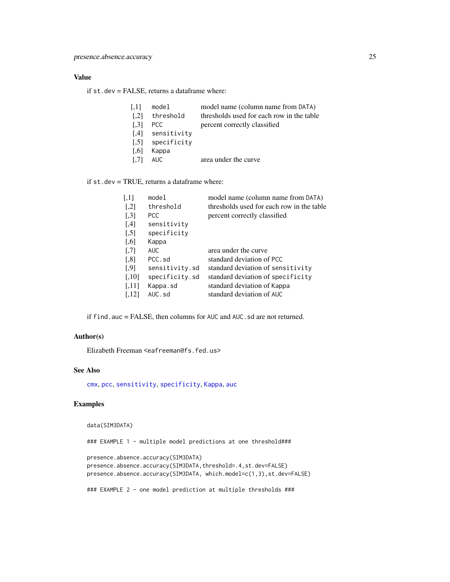# <span id="page-24-0"></span>Value

if st.dev = FALSE, returns a dataframe where:

| [,1]                | model            | model name (column name from DATA)        |
|---------------------|------------------|-------------------------------------------|
| $\lceil .2 \rceil$  | threshold        | thresholds used for each row in the table |
| $\left[ .3 \right]$ | PCC.             | percent correctly classified              |
| [4]                 | sensitivity      |                                           |
|                     | [.5] specificity |                                           |
| $\vert .6 \vert$    | Kappa            |                                           |
| $\left[ .7\right]$  | AUC.             | area under the curve                      |
|                     |                  |                                           |

if st.dev = TRUE, returns a dataframe where:

| $\left\lceil,1\right\rceil$ | model          | model name (column name from DATA)        |
|-----------------------------|----------------|-------------------------------------------|
| $\left[ 1,2\right]$         | threshold      | thresholds used for each row in the table |
| $[$                         | <b>PCC</b>     | percent correctly classified              |
| $[,4]$                      | sensitivity    |                                           |
| $[$                         | specificity    |                                           |
| $\left[ 0.6 \right]$        | Kappa          |                                           |
| $[0.7]$                     | <b>AUC</b>     | area under the curve                      |
| $\left[ 0.8\right]$         | PCC.sd         | standard deviation of PCC                 |
| $\left[ .9\right]$          | sensitivity.sd | standard deviation of sensitivity         |
| $[,10]$                     | specificity.sd | standard deviation of specificity         |
| [,11]                       | Kappa.sd       | standard deviation of Kappa               |
| [.12]                       | AUC.sd         | standard deviation of AUC                 |

if find.auc = FALSE, then columns for AUC and AUC.sd are not returned.

# Author(s)

Elizabeth Freeman <eafreeman@fs.fed.us>

# See Also

[cmx](#page-10-1), [pcc](#page-20-1), [sensitivity](#page-34-1), [specificity](#page-37-1), [Kappa](#page-16-1), [auc](#page-3-1)

# Examples

data(SIM3DATA)

### EXAMPLE 1 - multiple model predictions at one threshold###

```
presence.absence.accuracy(SIM3DATA)
presence.absence.accuracy(SIM3DATA,threshold=.4,st.dev=FALSE)
presence.absence.accuracy(SIM3DATA, which.model=c(1,3),st.dev=FALSE)
```
### EXAMPLE 2 - one model prediction at multiple thresholds ###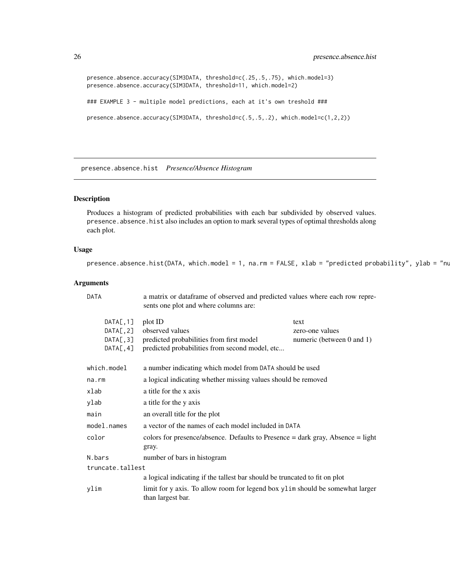```
presence.absence.accuracy(SIM3DATA, threshold=c(.25,.5,.75), which.model=3)
presence.absence.accuracy(SIM3DATA, threshold=11, which.model=2)
### EXAMPLE 3 - multiple model predictions, each at it's own treshold ###
presence.absence.accuracy(SIM3DATA, threshold=c(.5,.5,.2), which.model=c(1,2,2))
```
<span id="page-25-1"></span>presence.absence.hist *Presence/Absence Histogram*

# Description

Produces a histogram of predicted probabilities with each bar subdivided by observed values. presence. absence. hist also includes an option to mark several types of optimal thresholds along each plot.

#### Usage

```
presence.absence.hist(DATA, which.model = 1, na.rm = FALSE, xlab = "predicted probability", ylab = "nu
```

| DATA                                                                                                       | a matrix or dataframe of observed and predicted values where each row repre-<br>sents one plot and where columns are:    |                                                      |  |
|------------------------------------------------------------------------------------------------------------|--------------------------------------------------------------------------------------------------------------------------|------------------------------------------------------|--|
| DATA[, 1]<br>DATA[, 2]<br>DATA[, 3]<br>DATA[, 4]                                                           | plot ID<br>observed values<br>predicted probabilities from first model<br>predicted probabilities from second model, etc | text<br>zero-one values<br>numeric (between 0 and 1) |  |
| which.model                                                                                                | a number indicating which model from DATA should be used                                                                 |                                                      |  |
| na.rm                                                                                                      | a logical indicating whether missing values should be removed                                                            |                                                      |  |
| xlab                                                                                                       | a title for the x axis                                                                                                   |                                                      |  |
| ylab                                                                                                       | a title for the y axis                                                                                                   |                                                      |  |
| main                                                                                                       | an overall title for the plot                                                                                            |                                                      |  |
| a vector of the names of each model included in DATA<br>model.names                                        |                                                                                                                          |                                                      |  |
| color                                                                                                      | colors for presence/absence. Defaults to Presence $=$ dark gray, Absence $=$ light<br>gray.                              |                                                      |  |
| N.bars                                                                                                     | number of bars in histogram                                                                                              |                                                      |  |
| truncate.tallest                                                                                           |                                                                                                                          |                                                      |  |
|                                                                                                            | a logical indicating if the tallest bar should be truncated to fit on plot                                               |                                                      |  |
| ylim<br>limit for y axis. To allow room for legend box ylim should be somewhat larger<br>than largest bar. |                                                                                                                          |                                                      |  |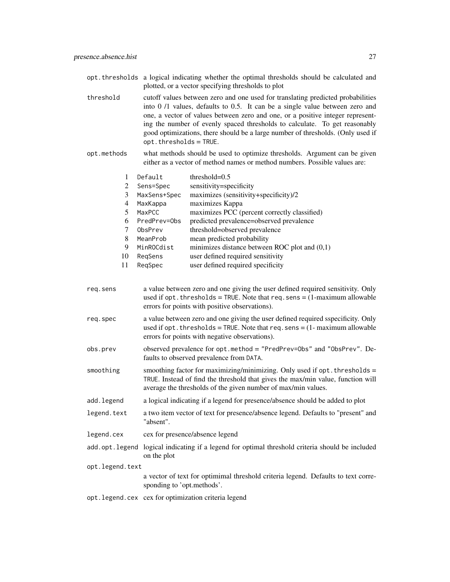- opt.thresholds a logical indicating whether the optimal thresholds should be calculated and plotted, or a vector specifying thresholds to plot
- threshold cutoff values between zero and one used for translating predicted probabilities into 0 /1 values, defaults to 0.5. It can be a single value between zero and one, a vector of values between zero and one, or a positive integer representing the number of evenly spaced thresholds to calculate. To get reasonably good optimizations, there should be a large number of thresholds. (Only used if opt.thresholds = TRUE.
- opt.methods what methods should be used to optimize thresholds. Argument can be given either as a vector of method names or method numbers. Possible values are:

|    | Default      | threshold= $0.5$                                |
|----|--------------|-------------------------------------------------|
| 2  | Sens=Spec    | sensitivity=specificity                         |
| 3  | MaxSens+Spec | maximizes (sensitivity+specificity)/2           |
| 4  | MaxKappa     | maximizes Kappa                                 |
|    | MaxPCC       | maximizes PCC (percent correctly classified)    |
| 6  | PredPrev=Obs | predicted prevalence=observed prevalence        |
|    | ObsPrev      | threshold=observed prevalence                   |
| 8  | MeanProb     | mean predicted probability                      |
| 9  | MinROCdist   | minimizes distance between ROC plot and $(0,1)$ |
| 10 | RegSens      | user defined required sensitivity               |
| 11 | RegSpec      | user defined required specificity               |
|    |              |                                                 |

req.sens a value between zero and one giving the user defined required sensitivity. Only used if opt. thresholds = TRUE. Note that req. sens =  $(1-maximum$  allowable errors for points with positive observations). req.spec a value between zero and one giving the user defined required sspecificity. Only used if opt. thresholds = TRUE. Note that req.sens =  $(1-$  maximum allowable errors for points with negative observations). obs.prev observed prevalence for opt.method = "PredPrev=Obs" and "ObsPrev". Defaults to observed prevalence from DATA. smoothing smoothing factor for maximizing/minimizing. Only used if opt. thresholds = TRUE. Instead of find the threshold that gives the max/min value, function will average the thresholds of the given number of max/min values. add.legend a logical indicating if a legend for presence/absence should be added to plot legend.text a two item vector of text for presence/absence legend. Defaults to "present" and "absent". legend.cex cex for presence/absence legend add.opt.legend logical indicating if a legend for optimal threshold criteria should be included on the plot opt.legend.text a vector of text for optimimal threshold criteria legend. Defaults to text corresponding to 'opt.methods'. opt.legend.cex cex for optimization criteria legend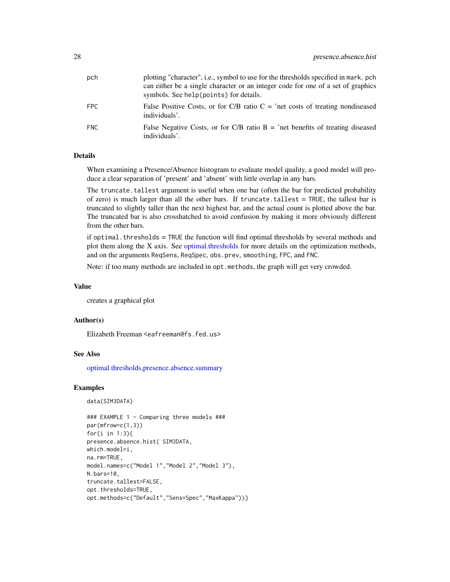<span id="page-27-0"></span>

| pch  | plotting "character", i.e., symbol to use for the thresholds specified in mark, pch<br>can either be a single character or an integer code for one of a set of graphics<br>symbols. See help (points) for details. |
|------|--------------------------------------------------------------------------------------------------------------------------------------------------------------------------------------------------------------------|
| FPC. | False Positive Costs, or for C/B ratio $C =$ 'net costs of treating nondiseased<br>individuals'.                                                                                                                   |
| FNC. | False Negative Costs, or for C/B ratio $B = 'net$ benefits of treating diseased<br>individuals'.                                                                                                                   |

When examining a Presence/Absence histogram to evaluate model quality, a good model will produce a clear separation of 'present' and 'absent' with little overlap in any bars.

The truncate.tallest argument is useful when one bar (often the bar for predicted probability of zero) is much larger than all the other bars. If truncate tallest  $=$  TRUE, the tallest bar is truncated to slightly taller than the next highest bar, and the actual count is plotted above the bar. The truncated bar is also crosshatched to avoid confusion by making it more obviously different from the other bars.

if optimal.thresholds = TRUE the function will find optimal thresholds by several methods and plot them along the X axis. See [optimal.thresholds](#page-17-1) for more details on the optimization methods, and on the arguments ReqSens, ReqSpec, obs.prev, smoothing, FPC, and FNC.

Note: if too many methods are included in opt.methods, the graph will get very crowded.

#### Value

creates a graphical plot

#### Author(s)

Elizabeth Freeman <eafreeman@fs.fed.us>

#### See Also

[optimal.thresholds,](#page-17-1)[presence.absence.summary](#page-30-1)

#### Examples

```
data(SIM3DATA)
```

```
### EXAMPLE 1 - Comparing three models ###
par(mfrow=c(1,3))
for(i in 1:3){
presence.absence.hist( SIM3DATA,
which.model=i,
na.rm=TRUE,
model.names=c("Model 1","Model 2","Model 3"),
N.bars=10,
truncate.tallest=FALSE,
opt.thresholds=TRUE,
opt.methods=c("Default","Sens=Spec","MaxKappa"))}
```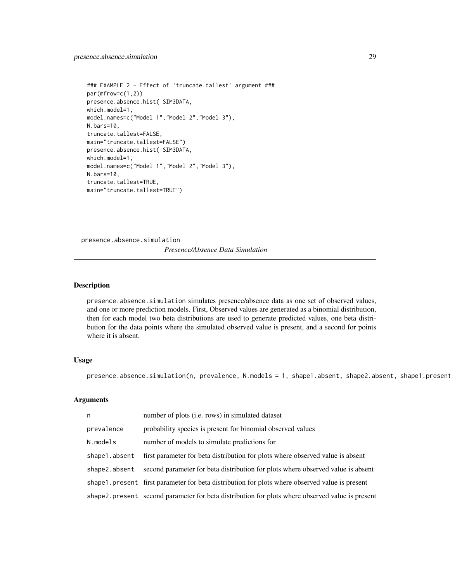```
### EXAMPLE 2 - Effect of 'truncate.tallest' argument ###
par(mfrow=c(1,2))
presence.absence.hist( SIM3DATA,
which.model=1,
model.names=c("Model 1","Model 2","Model 3"),
N.bars=10,
truncate.tallest=FALSE,
main="truncate.tallest=FALSE")
presence.absence.hist( SIM3DATA,
which.model=1,
model.names=c("Model 1","Model 2","Model 3"),
N.bars=10,
truncate.tallest=TRUE,
main="truncate.tallest=TRUE")
```
<span id="page-28-1"></span>presence.absence.simulation *Presence/Absence Data Simulation*

#### Description

presence.absence.simulation simulates presence/absence data as one set of observed values, and one or more prediction models. First, Observed values are generated as a binomial distribution, then for each model two beta distributions are used to generate predicted values, one beta distribution for the data points where the simulated observed value is present, and a second for points where it is absent.

# Usage

presence.absence.simulation(n, prevalence, N.models = 1, shape1.absent, shape2.absent, shape1.present

| n             | number of plots (i.e. rows) in simulated dataset                                                 |
|---------------|--------------------------------------------------------------------------------------------------|
| prevalence    | probability species is present for binomial observed values                                      |
| N.models      | number of models to simulate predictions for                                                     |
| shape1.absent | first parameter for beta distribution for plots where observed value is absent                   |
| shape2.absent | second parameter for beta distribution for plots where observed value is absent                  |
|               | shape 1. present first parameter for beta distribution for plots where observed value is present |
|               | shape2.present second parameter for beta distribution for plots where observed value is present  |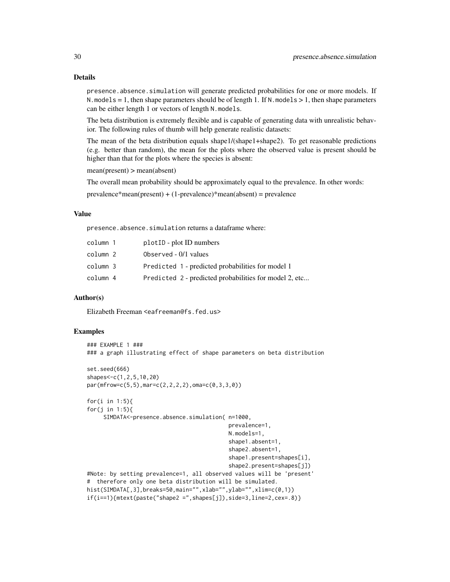presence.absence.simulation will generate predicted probabilities for one or more models. If N. models = 1, then shape parameters should be of length 1. If N. models  $> 1$ , then shape parameters can be either length 1 or vectors of length N.models.

The beta distribution is extremely flexible and is capable of generating data with unrealistic behavior. The following rules of thumb will help generate realistic datasets:

The mean of the beta distribution equals shape1/(shape1+shape2). To get reasonable predictions (e.g. better than random), the mean for the plots where the observed value is present should be higher than that for the plots where the species is absent:

mean(present) > mean(absent)

The overall mean probability should be approximately equal to the prevalence. In other words:

 $prevalence*mean(present) + (1-prevalence)*mean(absent) = prevalence$ 

# Value

presence.absence.simulation returns a dataframe where:

| column 1 | plot <sub>ID</sub> - plot <sub>ID</sub> numbers        |
|----------|--------------------------------------------------------|
| column 2 | Observed $-0/1$ values                                 |
| column 3 | Predicted 1 - predicted probabilities for model 1      |
| column 4 | Predicted 2 - predicted probabilities for model 2, etc |

#### Author(s)

Elizabeth Freeman <eafreeman@fs.fed.us>

# Examples

```
### EXAMPLE 1 ###
### a graph illustrating effect of shape parameters on beta distribution
set.seed(666)
shapes<-c(1,2,5,10,20)
par(mfrow=c(5,5),mar=c(2,2,2,2),oma=c(0,3,3,0))
for(i in 1:5){
for(j in 1:5){
     SIMDATA<-presence.absence.simulation( n=1000,
                                           prevalence=1,
                                           N.models=1,
                                           shape1.absent=1,
                                           shape2.absent=1,
                                           shape1.present=shapes[i],
                                           shape2.present=shapes[j])
#Note: by setting prevalence=1, all observed values will be 'present'
# therefore only one beta distribution will be simulated.
hist(SIMDATA[,3],breaks=50,main="",xlab="",ylab="",xlim=c(0,1))
if(i==1){mtext(paste("shape2 =",shapes[j]),side=3,line=2,cex=.8)}
```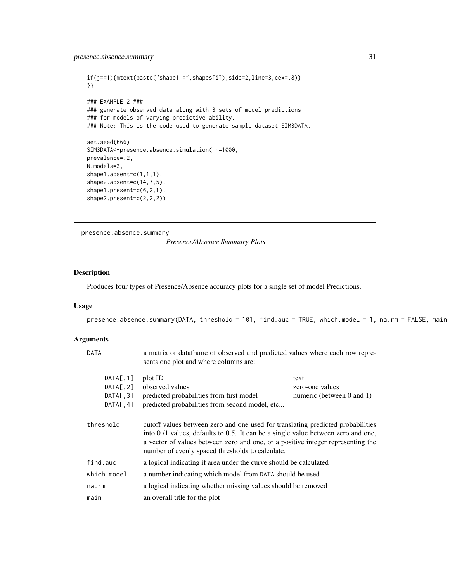<span id="page-30-0"></span>presence.absence.summary 31

```
if(j==1){ (mtext(paste("shape1 =",shapes[i]),side=2,line=3,cex=.8) }
}}
### EXAMPLE 2 ###
### generate observed data along with 3 sets of model predictions
### for models of varying predictive ability.
### Note: This is the code used to generate sample dataset SIM3DATA.
set.seed(666)
SIM3DATA<-presence.absence.simulation( n=1000,
prevalence=.2,
N.models=3,
shape1.absent=c(1,1,1),
shape2.absent=c(14,7,5),
shape1.present=c(6,2,1),
shape2.present=c(2,2,2))
```
<span id="page-30-1"></span>presence.absence.summary

*Presence/Absence Summary Plots*

# Description

Produces four types of Presence/Absence accuracy plots for a single set of model Predictions.

#### Usage

presence.absence.summary(DATA, threshold = 101, find.auc = TRUE, which.model = 1, na.rm = FALSE, main

| <b>DATA</b> | a matrix or dataframe of observed and predicted values where each row repre-<br>sents one plot and where columns are:                                                                                                                                                                                      |                                |
|-------------|------------------------------------------------------------------------------------------------------------------------------------------------------------------------------------------------------------------------------------------------------------------------------------------------------------|--------------------------------|
| DATA[, 1]   | plot ID                                                                                                                                                                                                                                                                                                    | text                           |
| DATA[, 2]   | observed values                                                                                                                                                                                                                                                                                            | zero-one values                |
| DATA[, 3]   | predicted probabilities from first model                                                                                                                                                                                                                                                                   | numeric (between $0$ and $1$ ) |
| DATA[, 4]   | predicted probabilities from second model, etc                                                                                                                                                                                                                                                             |                                |
| threshold   | cutoff values between zero and one used for translating predicted probabilities<br>into 0/1 values, defaults to 0.5. It can be a single value between zero and one,<br>a vector of values between zero and one, or a positive integer representing the<br>number of evenly spaced thresholds to calculate. |                                |
| find.auc    | a logical indicating if area under the curve should be calculated                                                                                                                                                                                                                                          |                                |
| which.model | a number indicating which model from DATA should be used                                                                                                                                                                                                                                                   |                                |
| na.rm       | a logical indicating whether missing values should be removed                                                                                                                                                                                                                                              |                                |
| main        | an overall title for the plot                                                                                                                                                                                                                                                                              |                                |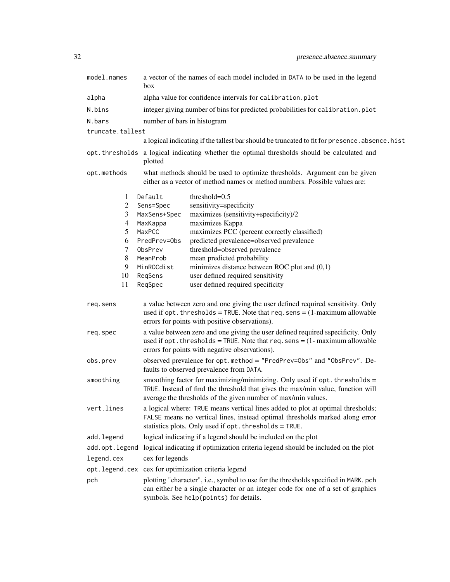| model.names      | a vector of the names of each model included in DATA to be used in the legend<br>box                                                                                                                                            |  |  |
|------------------|---------------------------------------------------------------------------------------------------------------------------------------------------------------------------------------------------------------------------------|--|--|
| alpha            | alpha value for confidence intervals for calibration.plot                                                                                                                                                                       |  |  |
| N.bins           | integer giving number of bins for predicted probabilities for calibration.plot                                                                                                                                                  |  |  |
| N.bars           | number of bars in histogram                                                                                                                                                                                                     |  |  |
| truncate.tallest |                                                                                                                                                                                                                                 |  |  |
|                  | a logical indicating if the tallest bar should be truncated to fit for presence. absence. hist                                                                                                                                  |  |  |
|                  | opt. thresholds a logical indicating whether the optimal thresholds should be calculated and<br>plotted                                                                                                                         |  |  |
| opt.methods      | what methods should be used to optimize thresholds. Argument can be given<br>either as a vector of method names or method numbers. Possible values are:                                                                         |  |  |
| 1                | Default<br>threshold=0.5                                                                                                                                                                                                        |  |  |
| 2                | sensitivity=specificity<br>Sens=Spec                                                                                                                                                                                            |  |  |
| 3                | MaxSens+Spec<br>maximizes (sensitivity+specificity)/2                                                                                                                                                                           |  |  |
| 4                | maximizes Kappa<br>MaxKappa                                                                                                                                                                                                     |  |  |
| 5                | maximizes PCC (percent correctly classified)<br>MaxPCC                                                                                                                                                                          |  |  |
| 6                | predicted prevalence=observed prevalence<br>PredPrev=0bs                                                                                                                                                                        |  |  |
| 7<br>8           | threshold=observed prevalence<br>ObsPrev<br>mean predicted probability<br>MeanProb                                                                                                                                              |  |  |
| 9                | minimizes distance between ROC plot and $(0,1)$<br>MinROCdist                                                                                                                                                                   |  |  |
| 10               | user defined required sensitivity<br>ReqSens                                                                                                                                                                                    |  |  |
| 11               | user defined required specificity<br>ReqSpec                                                                                                                                                                                    |  |  |
| req.sens         | a value between zero and one giving the user defined required sensitivity. Only<br>used if opt. thresholds = TRUE. Note that req. sens = $(1$ -maximum allowable<br>errors for points with positive observations).              |  |  |
| req.spec         | a value between zero and one giving the user defined required sspecificity. Only<br>used if opt. thresholds = TRUE. Note that $req$ . sens = $(1 - \text{maximum allowable})$<br>errors for points with negative observations). |  |  |
| obs.prev         | observed prevalence for opt.method = "PredPrev=0bs" and "0bsPrev". De-<br>faults to observed prevalence from DATA.                                                                                                              |  |  |
| smoothing        | smoothing factor for maximizing/minimizing. Only used if opt. thresholds =<br>TRUE. Instead of find the threshold that gives the max/min value, function will<br>average the thresholds of the given number of max/min values.  |  |  |
| vert.lines       | a logical where: TRUE means vertical lines added to plot at optimal thresholds;<br>FALSE means no vertical lines, instead optimal thresholds marked along error<br>statistics plots. Only used if opt. thresholds = TRUE.       |  |  |
| add.legend       | logical indicating if a legend should be included on the plot                                                                                                                                                                   |  |  |
| add.opt.legend   | logical indicating if optimization criteria legend should be included on the plot                                                                                                                                               |  |  |
| legend.cex       | cex for legends                                                                                                                                                                                                                 |  |  |
| opt.legend.cex   | cex for optimization criteria legend                                                                                                                                                                                            |  |  |
| pch              | plotting "character", i.e., symbol to use for the thresholds specified in MARK. pch<br>can either be a single character or an integer code for one of a set of graphics<br>symbols. See help(points) for details.               |  |  |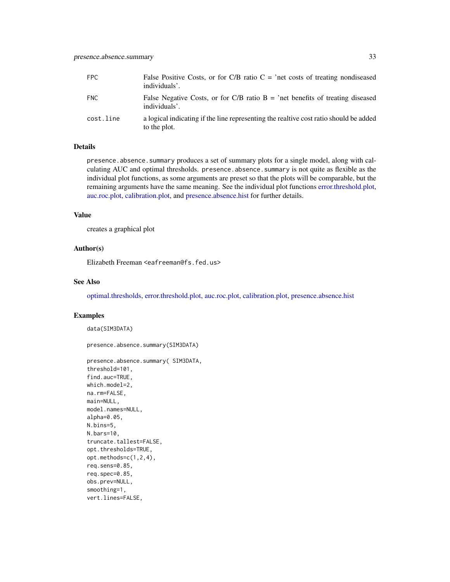<span id="page-32-0"></span>

| FPC.      | False Positive Costs, or for C/B ratio $C =$ 'net costs of treating nondiseased<br>individuals'.      |
|-----------|-------------------------------------------------------------------------------------------------------|
| FNC.      | False Negative Costs, or for C/B ratio $B =$ 'net benefits of treating diseased<br>individuals'.      |
| cost.line | a logical indicating if the line representing the realtive cost ratio should be added<br>to the plot. |

presence.absence.summary produces a set of summary plots for a single model, along with calculating AUC and optimal thresholds. presence.absence.summary is not quite as flexible as the individual plot functions, as some arguments are preset so that the plots will be comparable, but the remaining arguments have the same meaning. See the individual plot functions [error.threshold.plot,](#page-12-1) [auc.roc.plot,](#page-4-1) [calibration.plot,](#page-8-1) and [presence.absence.hist](#page-25-1) for further details.

#### Value

creates a graphical plot

#### Author(s)

Elizabeth Freeman <eafreeman@fs.fed.us>

#### See Also

[optimal.thresholds,](#page-17-1) [error.threshold.plot,](#page-12-1) [auc.roc.plot,](#page-4-1) [calibration.plot,](#page-8-1) [presence.absence.hist](#page-25-1)

# Examples

data(SIM3DATA)

presence.absence.summary(SIM3DATA)

```
presence.absence.summary( SIM3DATA,
threshold=101,
find.auc=TRUE,
which.model=2,
na.rm=FALSE,
main=NULL,
model.names=NULL,
alpha=0.05,
N.bins=5,
N.bars=10,
truncate.tallest=FALSE,
opt.thresholds=TRUE,
opt.methods=c(1,2,4),
req.sens=0.85,
req.spec=0.85,
obs.prev=NULL,
smoothing=1,
vert.lines=FALSE,
```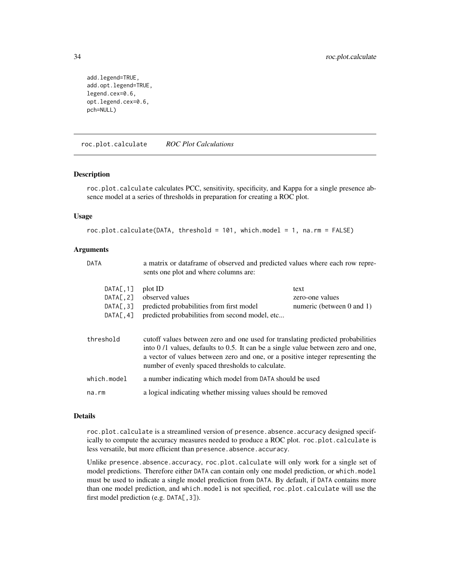```
add.legend=TRUE,
add.opt.legend=TRUE,
legend.cex=0.6,
opt.legend.cex=0.6,
pch=NULL)
```
<span id="page-33-1"></span>roc.plot.calculate *ROC Plot Calculations*

#### Description

roc.plot.calculate calculates PCC, sensitivity, specificity, and Kappa for a single presence absence model at a series of thresholds in preparation for creating a ROC plot.

#### Usage

```
roc.plot.calculate(DATA, threshold = 101, which.model = 1, na.rm = FALSE)
```
#### **Arguments**

| <b>DATA</b>                                      | a matrix or dataframe of observed and predicted values where each row repre-<br>sents one plot and where columns are:                                                                                                                                                                                      |                                                           |
|--------------------------------------------------|------------------------------------------------------------------------------------------------------------------------------------------------------------------------------------------------------------------------------------------------------------------------------------------------------------|-----------------------------------------------------------|
| DATA[, 1]<br>DATA[, 2]<br>DATA[, 3]<br>DATA[, 4] | plot ID<br>observed values<br>predicted probabilities from first model<br>predicted probabilities from second model, etc                                                                                                                                                                                   | text<br>zero-one values<br>numeric (between $0$ and $1$ ) |
| threshold                                        | cutoff values between zero and one used for translating predicted probabilities<br>into 0/1 values, defaults to 0.5. It can be a single value between zero and one,<br>a vector of values between zero and one, or a positive integer representing the<br>number of evenly spaced thresholds to calculate. |                                                           |
| which.model                                      | a number indicating which model from DATA should be used                                                                                                                                                                                                                                                   |                                                           |
| $na$ . $rm$                                      | a logical indicating whether missing values should be removed                                                                                                                                                                                                                                              |                                                           |
|                                                  |                                                                                                                                                                                                                                                                                                            |                                                           |

# Details

roc.plot.calculate is a streamlined version of presence.absence.accuracy designed specifically to compute the accuracy measures needed to produce a ROC plot. roc.plot.calculate is less versatile, but more efficient than presence.absence.accuracy.

Unlike presence.absence.accuracy, roc.plot.calculate will only work for a single set of model predictions. Therefore either DATA can contain only one model prediction, or which.model must be used to indicate a single model prediction from DATA. By default, if DATA contains more than one model prediction, and which.model is not specified, roc.plot.calculate will use the first model prediction (e.g. DATA[, 3]).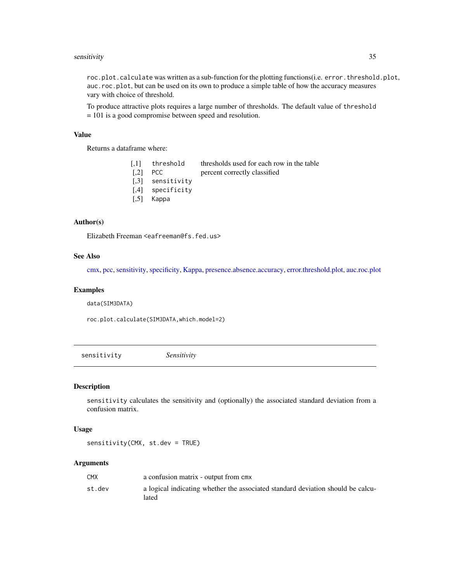#### <span id="page-34-0"></span>sensitivity 35

roc.plot.calculate was written as a sub-function for the plotting functions(i.e. error.threshold.plot, auc.roc.plot, but can be used on its own to produce a simple table of how the accuracy measures vary with choice of threshold.

To produce attractive plots requires a large number of thresholds. The default value of threshold = 101 is a good compromise between speed and resolution.

# Value

Returns a dataframe where:

[,1] threshold thresholds used for each row in the table [,2] PCC percent correctly classified [,3] sensitivity [,4] specificity [,5] Kappa

# Author(s)

Elizabeth Freeman <eafreeman@fs.fed.us>

#### See Also

[cmx,](#page-10-1) [pcc,](#page-20-1) [sensitivity,](#page-34-1) [specificity,](#page-37-1) [Kappa,](#page-16-1) [presence.absence.accuracy,](#page-23-1) [error.threshold.plot,](#page-12-1) [auc.roc.plot](#page-4-1)

#### Examples

data(SIM3DATA)

roc.plot.calculate(SIM3DATA,which.model=2)

<span id="page-34-1"></span>sensitivity *Sensitivity*

#### Description

sensitivity calculates the sensitivity and (optionally) the associated standard deviation from a confusion matrix.

#### Usage

sensitivity(CMX, st.dev = TRUE)

| <b>CMX</b> | a confusion matrix - output from cmx                                                     |
|------------|------------------------------------------------------------------------------------------|
| st.dev     | a logical indicating whether the associated standard deviation should be calcu-<br>lated |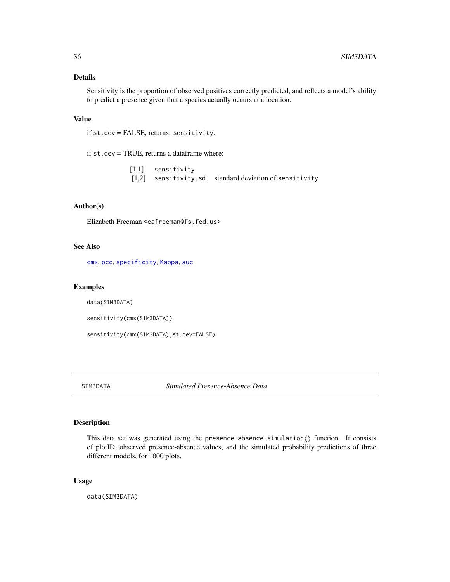<span id="page-35-0"></span>Sensitivity is the proportion of observed positives correctly predicted, and reflects a model's ability to predict a presence given that a species actually occurs at a location.

# Value

```
if st.dev = FALSE, returns: sensitivity.
```
if st.dev = TRUE, returns a dataframe where:

[1,1] sensitivity [1,2] sensitivity.sd standard deviation of sensitivity

# Author(s)

Elizabeth Freeman <eafreeman@fs.fed.us>

# See Also

[cmx](#page-10-1), [pcc](#page-20-1), [specificity](#page-37-1), [Kappa](#page-16-1), [auc](#page-3-1)

# Examples

data(SIM3DATA)

sensitivity(cmx(SIM3DATA))

sensitivity(cmx(SIM3DATA),st.dev=FALSE)

SIM3DATA *Simulated Presence-Absence Data*

#### Description

This data set was generated using the presence.absence.simulation() function. It consists of plotID, observed presence-absence values, and the simulated probability predictions of three different models, for 1000 plots.

# Usage

data(SIM3DATA)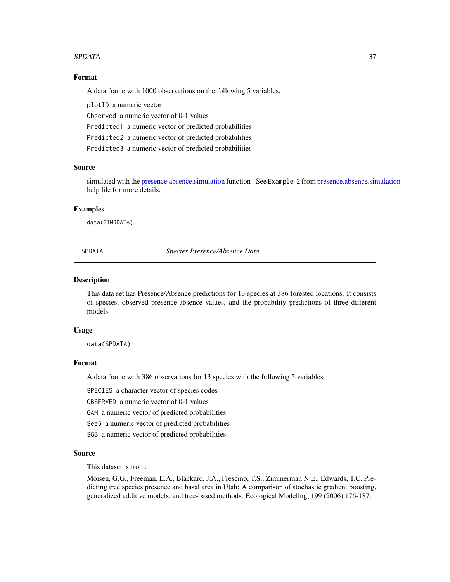#### <span id="page-36-0"></span>SPDATA 37

#### Format

A data frame with 1000 observations on the following 5 variables.

plotID a numeric vector

Observed a numeric vector of 0-1 values

Predicted1 a numeric vector of predicted probabilities

Predicted2 a numeric vector of predicted probabilities

Predicted3 a numeric vector of predicted probabilities

#### Source

simulated with the [presence.absence.simulation](#page-28-1) function . See Example 2 from presence.absence.simulation help file for more details.

#### Examples

data(SIM3DATA)

SPDATA *Species Presence/Absence Data*

### **Description**

This data set has Presence/Absence predictions for 13 species at 386 forested locations. It consists of species, observed presence-absence values, and the probability predictions of three different models.

## Usage

data(SPDATA)

# Format

A data frame with 386 observations for 13 species with the following 5 variables.

SPECIES a character vector of species codes

OBSERVED a numeric vector of 0-1 values

GAM a numeric vector of predicted probabilities

See5 a numeric vector of predicted probabilities

SGB a numeric vector of predicted probabilities

#### Source

This dataset is from:

Moisen, G.G., Freeman, E.A., Blackard, J.A., Frescino, T.S., Zimmerman N.E., Edwards, T.C. Predicting tree species presence and basal area in Utah: A comparison of stochastic gradient boosting, generalized additive models, and tree-based methods. Ecological Modellng, 199 (2006) 176-187.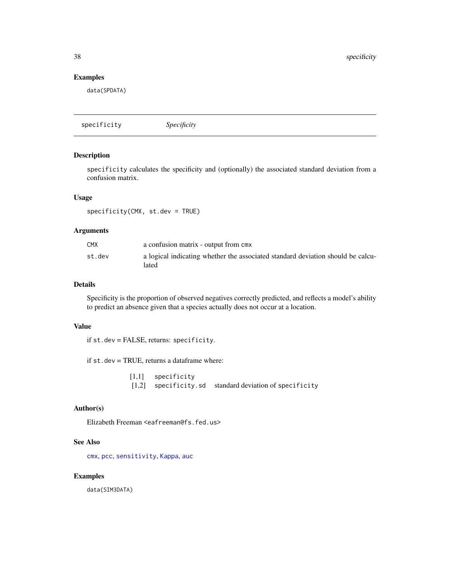# <span id="page-37-0"></span>Examples

data(SPDATA)

<span id="page-37-1"></span>specificity *Specificity*

#### Description

specificity calculates the specificity and (optionally) the associated standard deviation from a confusion matrix.

# Usage

specificity(CMX, st.dev = TRUE)

# Arguments

| <b>CMX</b> | a confusion matrix - output from cmx                                                     |
|------------|------------------------------------------------------------------------------------------|
| st.dev     | a logical indicating whether the associated standard deviation should be calcu-<br>lated |

# Details

Specificity is the proportion of observed negatives correctly predicted, and reflects a model's ability to predict an absence given that a species actually does not occur at a location.

#### Value

if st.dev = FALSE, returns: specificity.

if st.dev = TRUE, returns a dataframe where:

[1,1] specificity [1,2] specificity.sd standard deviation of specificity

# Author(s)

Elizabeth Freeman <eafreeman@fs.fed.us>

#### See Also

[cmx](#page-10-1), [pcc](#page-20-1), [sensitivity](#page-34-1), [Kappa](#page-16-1), [auc](#page-3-1)

## Examples

data(SIM3DATA)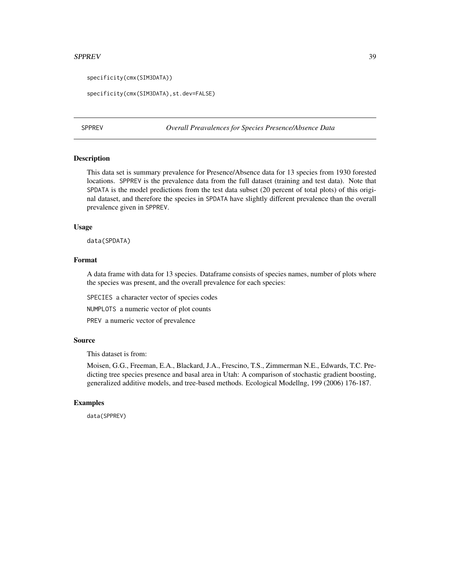#### <span id="page-38-0"></span> $SPPREV$  39

```
specificity(cmx(SIM3DATA))
```

```
specificity(cmx(SIM3DATA),st.dev=FALSE)
```
SPPREV *Overall Preavalences for Species Presence/Absence Data*

#### Description

This data set is summary prevalence for Presence/Absence data for 13 species from 1930 forested locations. SPPREV is the prevalence data from the full dataset (training and test data). Note that SPDATA is the model predictions from the test data subset (20 percent of total plots) of this original dataset, and therefore the species in SPDATA have slightly different prevalence than the overall prevalence given in SPPREV.

#### Usage

data(SPDATA)

#### Format

A data frame with data for 13 species. Dataframe consists of species names, number of plots where the species was present, and the overall prevalence for each species:

SPECIES a character vector of species codes

NUMPLOTS a numeric vector of plot counts

PREV a numeric vector of prevalence

# Source

This dataset is from:

Moisen, G.G., Freeman, E.A., Blackard, J.A., Frescino, T.S., Zimmerman N.E., Edwards, T.C. Predicting tree species presence and basal area in Utah: A comparison of stochastic gradient boosting, generalized additive models, and tree-based methods. Ecological Modellng, 199 (2006) 176-187.

#### Examples

data(SPPREV)